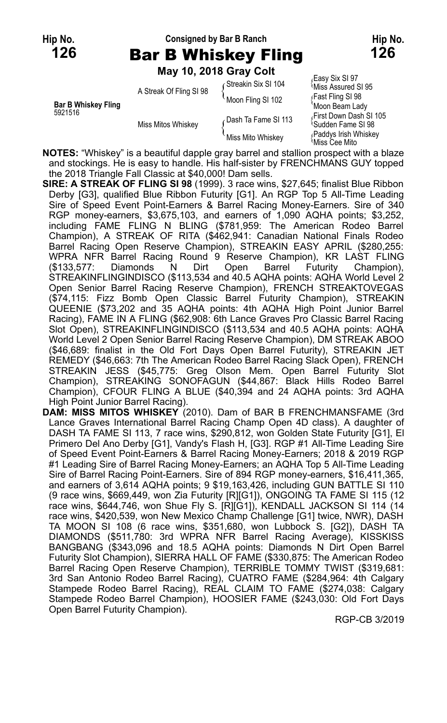#### **Hip No. Consigned by Bar B Ranch Hip No. 126** Bar B Whiskey Fling **126**

**May 10, 2018 Gray Colt**

| <b>Bar B Whiskey Fling</b><br>5921516 | A Streak Of Fling SI 98 | Streakin Six SI 104 | Easy Six SI 97،<br><b>Miss Assured SI 95</b>                                |
|---------------------------------------|-------------------------|---------------------|-----------------------------------------------------------------------------|
|                                       |                         | Moon Fling SI 102   | ∫Fast Fling SI 98                                                           |
|                                       | Miss Mitos Whiskey      | Dash Ta Fame SI 113 | 'Moon Beam Lady<br>First Down Dash SI 105<br><sup>∖</sup> Sudden Fame SI 98 |
|                                       |                         | Miss Mito Whiskev   | Paddys Irish Whiskey<br>Miss Cee Mito                                       |

**NOTES:** "Whiskey" is a beautiful dapple gray barrel and stallion prospect with a blaze and stockings. He is easy to handle. His half-sister by FRENCHMANS GUY topped the 2018 Triangle Fall Classic at \$40,000! Dam sells.

- **SIRE: A STREAK OF FLING SI 98** (1999). 3 race wins, \$27,645; finalist Blue Ribbon Derby [G3], qualified Blue Ribbon Futurity [G1]. An RGP Top 5 All-Time Leading Sire of Speed Event Point-Earners & Barrel Racing Money-Earners. Sire of 340 RGP money-earners, \$3,675,103, and earners of 1,090 AQHA points; \$3,252, including FAME FLING N BLING (\$781,959: The American Rodeo Barrel Champion), A STREAK OF RITA (\$462,941: Canadian National Finals Rodeo Barrel Racing Open Reserve Champion), STREAKIN EASY APRIL (\$280,255: WPRA NFR Barrel Racing Round 9 Reserve Champion), KR LAST FLING (\$133,577: Diamonds N Dirt Open Barrel Futurity Champion), STREAKINFLINGINDISCO (\$113,534 and 40.5 AQHA points: AQHA World Level 2 Open Senior Barrel Racing Reserve Champion), FRENCH STREAKTOVEGAS (\$74,115: Fizz Bomb Open Classic Barrel Futurity Champion), STREAKIN QUEENIE (\$73,202 and 35 AQHA points: 4th AQHA High Point Junior Barrel Racing), FAME IN A FLING (\$62,908: 6th Lance Graves Pro Classic Barrel Racing Slot Open), STREAKINFLINGINDISCO (\$113,534 and 40.5 AQHA points: AQHA World Level 2 Open Senior Barrel Racing Reserve Champion), DM STREAK ABOO (\$46,689: finalist in the Old Fort Days Open Barrel Futurity), STREAKIN JET REMEDY (\$46,663: 7th The American Rodeo Barrel Racing Slack Open), FRENCH STREAKIN JESS (\$45,775: Greg Olson Mem. Open Barrel Futurity Slot Champion), STREAKING SONOFAGUN (\$44,867: Black Hills Rodeo Barrel Champion), CFOUR FLING A BLUE (\$40,394 and 24 AQHA points: 3rd AQHA High Point Junior Barrel Racing).
- **DAM: MISS MITOS WHISKEY** (2010). Dam of BAR B FRENCHMANSFAME (3rd Lance Graves International Barrel Racing Champ Open 4D class). A daughter of DASH TA FAME SI 113, 7 race wins, \$290,812, won Golden State Futurity [G1], El Primero Del Ano Derby [G1], Vandy's Flash H, [G3]. RGP #1 All-Time Leading Sire of Speed Event Point-Earners & Barrel Racing Money-Earners; 2018 & 2019 RGP #1 Leading Sire of Barrel Racing Money-Earners; an AQHA Top 5 All-Time Leading Sire of Barrel Racing Point-Earners. Sire of 894 RGP money-earners, \$16,411,365, and earners of 3,614 AQHA points; 9 \$19,163,426, including GUN BATTLE SI 110 (9 race wins, \$669,449, won Zia Futurity [R][G1]), ONGOING TA FAME SI 115 (12 race wins, \$644,746, won Shue Fly S. [R][G1]), KENDALL JACKSON SI 114 (14 race wins, \$420,539, won New Mexico Champ Challenge [G1] twice, NWR), DASH TA MOON SI 108 (6 race wins, \$351,680, won Lubbock S. [G2]), DASH TA DIAMONDS (\$511,780: 3rd WPRA NFR Barrel Racing Average), KISSKISS BANGBANG (\$343,096 and 18.5 AQHA points: Diamonds N Dirt Open Barrel Futurity Slot Champion), SIERRA HALL OF FAME (\$330,875: The American Rodeo Barrel Racing Open Reserve Champion), TERRIBLE TOMMY TWIST (\$319,681: 3rd San Antonio Rodeo Barrel Racing), CUATRO FAME (\$284,964: 4th Calgary Stampede Rodeo Barrel Racing), REAL CLAIM TO FAME (\$274,038: Calgary Stampede Rodeo Barrel Champion), HOOSIER FAME (\$243,030: Old Fort Days Open Barrel Futurity Champion).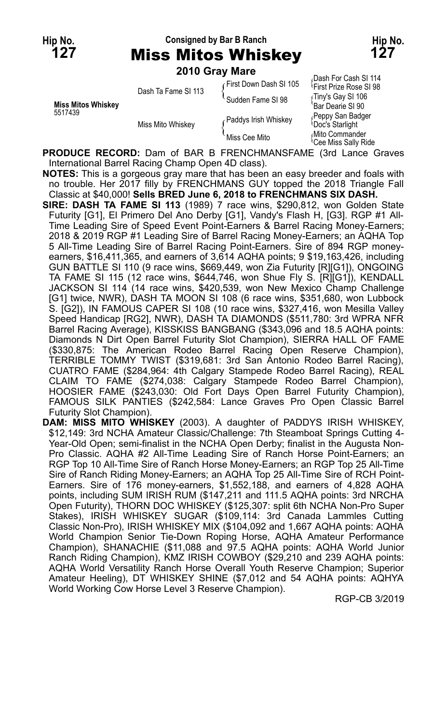## **Hip No. Consigned by Bar B Ranch Hip No. 127** Miss Mitos Whiskey **127**

**2010 Gray Mare**

|                           | <b>LUIU GIAY MAIG</b> |                         |                                                             |
|---------------------------|-----------------------|-------------------------|-------------------------------------------------------------|
|                           | Dash Ta Fame SI 113   | ⊊First Down Dash SI 105 | Dash For Cash SI 114<br><sup>1</sup> First Prize Rose SI 98 |
| <b>Miss Mitos Whiskev</b> |                       | Sudden Fame SI 98       | Tiny's Gay SI 106<br>'Bar Dearie SI 90                      |
| 5517439                   | Miss Mito Whiskev     | Paddys Irish Whiskey    | Peppy San Badger<br><b>Doc's Starlight</b>                  |
|                           |                       | Miss Cee Mito           | Mito Commander<br><sup>l</sup> Cee Miss Sally Ride          |

**PRODUCE RECORD:** Dam of BAR B FRENCHMANSFAME (3rd Lance Graves International Barrel Racing Champ Open 4D class).

**NOTES:** This is a gorgeous gray mare that has been an easy breeder and foals with no trouble. Her 2017 filly by FRENCHMANS GUY topped the 2018 Triangle Fall Classic at \$40,000! **Sells BRED June 6, 2018 to FRENCHMANS SIX DASH.**

- **SIRE: DASH TA FAME SI 113** (1989) 7 race wins, \$290,812, won Golden State Futurity [G1], El Primero Del Ano Derby [G1], Vandy's Flash H, [G3]. RGP #1 All-Time Leading Sire of Speed Event Point-Earners & Barrel Racing Money-Earners; 2018 & 2019 RGP #1 Leading Sire of Barrel Racing Money-Earners; an AQHA Top 5 All-Time Leading Sire of Barrel Racing Point-Earners. Sire of 894 RGP moneyearners, \$16,411,365, and earners of 3,614 AQHA points; 9 \$19,163,426, including GUN BATTLE SI 110 (9 race wins, \$669,449, won Zia Futurity [R][G1]), ONGOING TA FAME SI 115 (12 race wins, \$644,746, won Shue Fly S. [R][G1]), KENDALL JACKSON SI 114 (14 race wins, \$420,539, won New Mexico Champ Challenge [G1] twice, NWR), DASH TA MOON SI 108 (6 race wins, \$351,680, won Lubbock S. [G2]), IN FAMOUS CAPER SI 108 (10 race wins, \$327,416, won Mesilla Valley Speed Handicap [RG2], NWR), DASH TA DIAMONDS (\$511,780: 3rd WPRA NFR Barrel Racing Average), KISSKISS BANGBANG (\$343,096 and 18.5 AQHA points: Diamonds N Dirt Open Barrel Futurity Slot Champion), SIERRA HALL OF FAME (\$330,875: The American Rodeo Barrel Racing Open Reserve Champion), TERRIBLE TOMMY TWIST (\$319,681: 3rd San Antonio Rodeo Barrel Racing), CUATRO FAME (\$284,964: 4th Calgary Stampede Rodeo Barrel Racing), REAL CLAIM TO FAME (\$274,038: Calgary Stampede Rodeo Barrel Champion), HOOSIER FAME (\$243,030: Old Fort Days Open Barrel Futurity Champion), FAMOUS SILK PANTIES (\$242,584: Lance Graves Pro Open Classic Barrel Futurity Slot Champion).
- **DAM: MISS MITO WHISKEY** (2003). A daughter of PADDYS IRISH WHISKEY, \$12,149: 3rd NCHA Amateur Classic/Challenge: 7th Steamboat Springs Cutting 4- Year-Old Open; semi-finalist in the NCHA Open Derby; finalist in the Augusta Non-Pro Classic. AQHA #2 All-Time Leading Sire of Ranch Horse Point-Earners; an RGP Top 10 All-Time Sire of Ranch Horse Money-Earners; an RGP Top 25 All-Time Sire of Ranch Riding Money-Earners; an AQHA Top 25 All-Time Sire of RCH Point-Earners. Sire of 176 money-earners, \$1,552,188, and earners of 4,828 AQHA points, including SUM IRISH RUM (\$147,211 and 111.5 AQHA points: 3rd NRCHA Open Futurity), THORN DOC WHISKEY (\$125,307: split 6th NCHA Non-Pro Super Stakes), IRISH WHISKEY SUGAR (\$109,114: 3rd Canada Lammles Cutting Classic Non-Pro), IRISH WHISKEY MIX (\$104,092 and 1,667 AQHA points: AQHA World Champion Senior Tie-Down Roping Horse, AQHA Amateur Performance Champion), SHANACHIE (\$11,088 and 97.5 AQHA points: AQHA World Junior Ranch Riding Champion), KMZ IRISH COWBOY (\$29,210 and 239 AQHA points: AQHA World Versatility Ranch Horse Overall Youth Reserve Champion; Superior Amateur Heeling), DT WHISKEY SHINE (\$7,012 and 54 AQHA points: AQHYA World Working Cow Horse Level 3 Reserve Champion).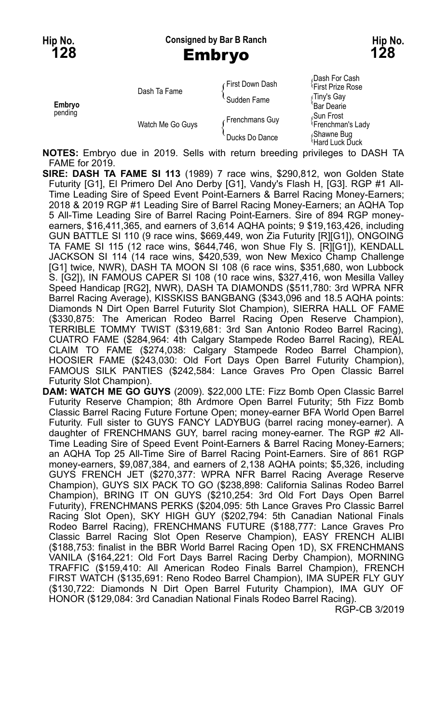**Hip No. Consigned by Bar B Ranch Hip No. 128** Embryo **128**

|                   | Dash Ta Fame     | ⊊First Down Dash | Dash For Cash<br><sup>1</sup> First Prize Rose |
|-------------------|------------------|------------------|------------------------------------------------|
| Embryo<br>pending |                  | Sudden Fame      | ∫Tiny's Gay<br>'Bar Dearie                     |
|                   | Watch Me Go Guys | Frenchmans Guy   | Sun Frost،<br><sup>1</sup> Frenchman's Lady    |
|                   |                  | Ducks Do Dance   | Shawne Bug<br>Hard Luck Duck                   |

**NOTES:** Embryo due in 2019. Sells with return breeding privileges to DASH TA FAME for 2019.

**SIRE: DASH TA FAME SI 113** (1989) 7 race wins, \$290,812, won Golden State Futurity [G1], El Primero Del Ano Derby [G1], Vandy's Flash H, [G3]. RGP #1 All-Time Leading Sire of Speed Event Point-Earners & Barrel Racing Money-Earners; 2018 & 2019 RGP #1 Leading Sire of Barrel Racing Money-Earners; an AQHA Top 5 All-Time Leading Sire of Barrel Racing Point-Earners. Sire of 894 RGP moneyearners, \$16,411,365, and earners of 3,614 AQHA points; 9 \$19,163,426, including GUN BATTLE SI 110 (9 race wins, \$669,449, won Zia Futurity [R][G1]), ONGOING TA FAME SI 115 (12 race wins, \$644,746, won Shue Fly S. [R][G1]), KENDALL JACKSON SI 114 (14 race wins, \$420,539, won New Mexico Champ Challenge [G1] twice, NWR), DASH TA MOON SI 108 (6 race wins, \$351,680, won Lubbock S. [G2]), IN FAMOUS CAPER SI 108 (10 race wins, \$327,416, won Mesilla Valley Speed Handicap [RG2], NWR), DASH TA DIAMONDS (\$511,780: 3rd WPRA NFR Barrel Racing Average), KISSKISS BANGBANG (\$343,096 and 18.5 AQHA points: Diamonds N Dirt Open Barrel Futurity Slot Champion), SIERRA HALL OF FAME (\$330,875: The American Rodeo Barrel Racing Open Reserve Champion), TERRIBLE TOMMY TWIST (\$319,681: 3rd San Antonio Rodeo Barrel Racing), CUATRO FAME (\$284,964: 4th Calgary Stampede Rodeo Barrel Racing), REAL CLAIM TO FAME (\$274,038: Calgary Stampede Rodeo Barrel Champion), HOOSIER FAME (\$243,030: Old Fort Days Open Barrel Futurity Champion), FAMOUS SILK PANTIES (\$242,584: Lance Graves Pro Open Classic Barrel Futurity Slot Champion).

**DAM: WATCH ME GO GUYS** (2009). \$22,000 LTE: Fizz Bomb Open Classic Barrel Futurity Reserve Champion; 8th Ardmore Open Barrel Futurity; 5th Fizz Bomb Classic Barrel Racing Future Fortune Open; money-earner BFA World Open Barrel Futurity. Full sister to GUYS FANCY LADYBUG (barrel racing money-earner). A daughter of FRENCHMANS GUY, barrel racing money-earner. The RGP #2 All-Time Leading Sire of Speed Event Point-Earners & Barrel Racing Money-Earners; an AQHA Top 25 All-Time Sire of Barrel Racing Point-Earners. Sire of 861 RGP money-earners, \$9,087,384, and earners of 2,138 AQHA points; \$5,326, including GUYS FRENCH JET (\$270,377: WPRA NFR Barrel Racing Average Reserve Champion), GUYS SIX PACK TO GO (\$238,898: California Salinas Rodeo Barrel Champion), BRING IT ON GUYS (\$210,254: 3rd Old Fort Days Open Barrel Futurity), FRENCHMANS PERKS (\$204,095: 5th Lance Graves Pro Classic Barrel Racing Slot Open), SKY HIGH GUY (\$202,794: 5th Canadian National Finals Rodeo Barrel Racing), FRENCHMANS FUTURE (\$188,777: Lance Graves Pro Classic Barrel Racing Slot Open Reserve Champion), EASY FRENCH ALIBI (\$188,753: finalist in the BBR World Barrel Racing Open 1D), SX FRENCHMANS VANILA (\$164,221: Old Fort Days Barrel Racing Derby Champion), MORNING TRAFFIC (\$159,410: All American Rodeo Finals Barrel Champion), FRENCH FIRST WATCH (\$135,691: Reno Rodeo Barrel Champion), IMA SUPER FLY GUY (\$130,722: Diamonds N Dirt Open Barrel Futurity Champion), IMA GUY OF HONOR (\$129,084: 3rd Canadian National Finals Rodeo Barrel Racing).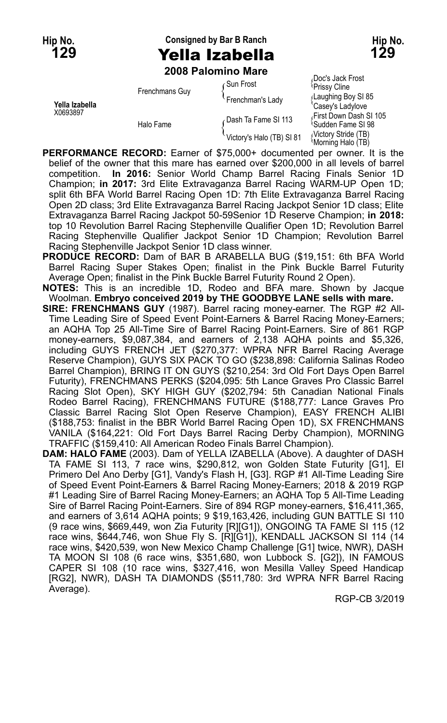# **Hip No. Consigned by Bar B Ranch Hip No. 129** Yella Izabella **129**

**2008 Palomino Mare**

| Yella Izabella<br>X0693897 | Frenchmans Guy<br>Halo Fame | Gun Frost                 | ιυνι ο ναιλ πυοι<br>Prissy Cline                     |
|----------------------------|-----------------------------|---------------------------|------------------------------------------------------|
|                            |                             | Frenchman's Lady          | Laughing Boy SI 85<br>'Casev's Ladvlove              |
|                            |                             | Dash Ta Fame SI 113       | First Down Dash SI<br><sup>1</sup> Sudden Fame SI 98 |
|                            |                             | Victory's Halo (TB) SI 81 | Victory Stride (TB)<br>Morning Halo (TB)             |

*(*Doc's Jack Frost<br><sup>{</sup>Prissy Cline aughing Boy SI 85<br>asev's Ladvlove irst Down Dash SI 105<br>udden Fame SI 98

**PERFORMANCE RECORD:** Earner of \$75,000+ documented per owner. It is the belief of the owner that this mare has earned over \$200,000 in all levels of barrel competition. **In 2016:** Senior World Champ Barrel Racing Finals Senior 1D Champion; **in 2017:** 3rd Elite Extravaganza Barrel Racing WARM-UP Open 1D; split 6th BFA World Barrel Racing Open 1D: 7th Elite Extravaganza Barrel Racing Open 2D class; 3rd Elite Extravaganza Barrel Racing Jackpot Senior 1D class; Elite Extravaganza Barrel Racing Jackpot 50-59Senior 1D Reserve Champion; **in 2018:** top 10 Revolution Barrel Racing Stephenville Qualifier Open 1D; Revolution Barrel Racing Stephenville Qualifier Jackpot Senior 1D Champion; Revolution Barrel Racing Stephenville Jackpot Senior 1D class winner.

**PRODUCE RECORD:** Dam of BAR B ARABELLA BUG (\$19,151: 6th BFA World Barrel Racing Super Stakes Open; finalist in the Pink Buckle Barrel Futurity Average Open; finalist in the Pink Buckle Barrel Futurity Round 2 Open).

**NOTES:** This is an incredible 1D, Rodeo and BFA mare. Shown by Jacque Woolman. **Embryo conceived 2019 by THE GOODBYE LANE sells with mare.**

**SIRE: FRENCHMANS GUY** (1987). Barrel racing money-earner. The RGP #2 All-Time Leading Sire of Speed Event Point-Earners & Barrel Racing Money-Earners; an AQHA Top 25 All-Time Sire of Barrel Racing Point-Earners. Sire of 861 RGP money-earners, \$9,087,384, and earners of 2,138 AQHA points and \$5,326, including GUYS FRENCH JET (\$270,377: WPRA NFR Barrel Racing Average Reserve Champion), GUYS SIX PACK TO GO (\$238,898: California Salinas Rodeo Barrel Champion), BRING IT ON GUYS (\$210,254: 3rd Old Fort Days Open Barrel Futurity), FRENCHMANS PERKS (\$204,095: 5th Lance Graves Pro Classic Barrel Racing Slot Open), SKY HIGH GUY (\$202,794: 5th Canadian National Finals Rodeo Barrel Racing), FRENCHMANS FUTURE (\$188,777: Lance Graves Pro Classic Barrel Racing Slot Open Reserve Champion), EASY FRENCH ALIBI (\$188,753: finalist in the BBR World Barrel Racing Open 1D), SX FRENCHMANS VANILA (\$164,221: Old Fort Days Barrel Racing Derby Champion), MORNING TRAFFIC (\$159,410: All American Rodeo Finals Barrel Champion).

**DAM: HALO FAME** (2003). Dam of YELLA IZABELLA (Above). A daughter of DASH TA FAME SI 113, 7 race wins, \$290,812, won Golden State Futurity [G1], El Primero Del Ano Derby [G1], Vandy's Flash H, [G3]. RGP #1 All-Time Leading Sire of Speed Event Point-Earners & Barrel Racing Money-Earners; 2018 & 2019 RGP #1 Leading Sire of Barrel Racing Money-Earners; an AQHA Top 5 All-Time Leading Sire of Barrel Racing Point-Earners. Sire of 894 RGP money-earners, \$16,411,365, and earners of 3,614 AQHA points; 9 \$19,163,426, including GUN BATTLE SI 110 (9 race wins, \$669,449, won Zia Futurity [R][G1]), ONGOING TA FAME SI 115 (12 race wins, \$644,746, won Shue Fly S. [R][G1]), KENDALL JACKSON SI 114 (14 race wins, \$420,539, won New Mexico Champ Challenge [G1] twice, NWR), DASH TA MOON SI 108 (6 race wins, \$351,680, won Lubbock S. [G2]), IN FAMOUS CAPER SI 108 (10 race wins, \$327,416, won Mesilla Valley Speed Handicap [RG2], NWR), DASH TA DIAMONDS (\$511,780: 3rd WPRA NFR Barrel Racing Average).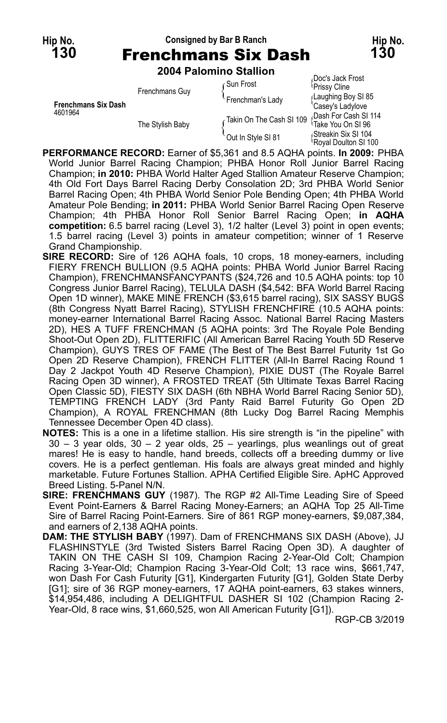## **Hip No. Consigned by Bar B Ranch Hip No. 130** Frenchmans Six Dash **130**

**2004 Palomino Stallion**

|                                       |                | 2004 Γαινπιπο διαιπνιτ |                                  |                                              |
|---------------------------------------|----------------|------------------------|----------------------------------|----------------------------------------------|
| <b>Frenchmans Six Dash</b><br>4601964 | Frenchmans Guy | ⊊Sun Frost             | Doc's Jack Frost<br>Prissy Cline |                                              |
|                                       |                |                        | Frenchman's Lady                 | Laughing Boy SI 85<br>'Casey's Ladylove      |
|                                       |                | The Stylish Baby       | Takin On The Cash SI 109         | Dash For Cash SI 114<br>Take You On SI 96    |
|                                       |                |                        | Out In Style SI 81               | Streakin Six SI 104،<br>Royal Doulton SI 100 |

**PERFORMANCE RECORD:** Earner of \$5,361 and 8.5 AQHA points. **In 2009:** PHBA World Junior Barrel Racing Champion; PHBA Honor Roll Junior Barrel Racing Champion; **in 2010:** PHBA World Halter Aged Stallion Amateur Reserve Champion; 4th Old Fort Days Barrel Racing Derby Consolation 2D; 3rd PHBA World Senior Barrel Racing Open; 4th PHBA World Senior Pole Bending Open; 4th PHBA World Amateur Pole Bending; **in 2011:** PHBA World Senior Barrel Racing Open Reserve Champion; 4th PHBA Honor Roll Senior Barrel Racing Open; **in AQHA competition:** 6.5 barrel racing (Level 3), 1/2 halter (Level 3) point in open events; 1.5 barrel racing (Level 3) points in amateur competition; winner of 1 Reserve Grand Championship.

- **SIRE RECORD:** Sire of 126 AQHA foals, 10 crops, 18 money-earners, including FIERY FRENCH BULLION (9.5 AQHA points: PHBA World Junior Barrel Racing Champion), FRENCHMANSFANCYPANTS (\$24,726 and 10.5 AQHA points: top 10 Congress Junior Barrel Racing), TELULA DASH (\$4,542: BFA World Barrel Racing Open 1D winner), MAKE MINE FRENCH (\$3,615 barrel racing), SIX SASSY BUGS (8th Congress Nyatt Barrel Racing), STYLISH FRENCHFIRE (10.5 AQHA points: money-earner International Barrel Racing Assoc. National Barrel Racing Masters 2D), HES A TUFF FRENCHMAN (5 AQHA points: 3rd The Royale Pole Bending Shoot-Out Open 2D), FLITTERIFIC (All American Barrel Racing Youth 5D Reserve Champion), GUYS TRES OF FAME (The Best of The Best Barrel Futurity 1st Go Open 2D Reserve Champion), FRENCH FLITTER (All-In Barrel Racing Round 1 Day 2 Jackpot Youth 4D Reserve Champion), PIXIE DUST (The Royale Barrel Racing Open 3D winner), A FROSTED TREAT (5th Ultimate Texas Barrel Racing Open Classic 5D), FIESTY SIX DASH (6th NBHA World Barrel Racing Senior 5D), TEMPTING FRENCH LADY (3rd Panty Raid Barrel Futurity Go Open 2D Champion), A ROYAL FRENCHMAN (8th Lucky Dog Barrel Racing Memphis Tennessee December Open 4D class).
- **NOTES:** This is a one in a lifetime stallion. His sire strength is "in the pipeline" with  $30 - 3$  year olds,  $30 - 2$  year olds,  $25 -$  yearlings, plus weanlings out of great mares! He is easy to handle, hand breeds, collects off a breeding dummy or live covers. He is a perfect gentleman. His foals are always great minded and highly marketable. Future Fortunes Stallion. APHA Certified Eligible Sire. ApHC Approved Breed Listing. 5-Panel N/N.
- **SIRE: FRENCHMANS GUY** (1987). The RGP #2 All-Time Leading Sire of Speed Event Point-Earners & Barrel Racing Money-Earners; an AQHA Top 25 All-Time Sire of Barrel Racing Point-Earners. Sire of 861 RGP money-earners, \$9,087,384, and earners of 2,138 AQHA points.
- **DAM: THE STYLISH BABY** (1997). Dam of FRENCHMANS SIX DASH (Above), JJ FLASHINSTYLE (3rd Twisted Sisters Barrel Racing Open 3D). A daughter of TAKIN ON THE CASH SI 109, Champion Racing 2-Year-Old Colt; Champion Racing 3-Year-Old; Champion Racing 3-Year-Old Colt; 13 race wins, \$661,747, won Dash For Cash Futurity [G1], Kindergarten Futurity [G1], Golden State Derby [G1]; sire of 36 RGP money-earners, 17 AQHA point-earners, 63 stakes winners, \$14,954,486, including A DELIGHTFUL DASHER SI 102 (Champion Racing 2- Year-Old, 8 race wins, \$1,660,525, won All American Futurity [G1]).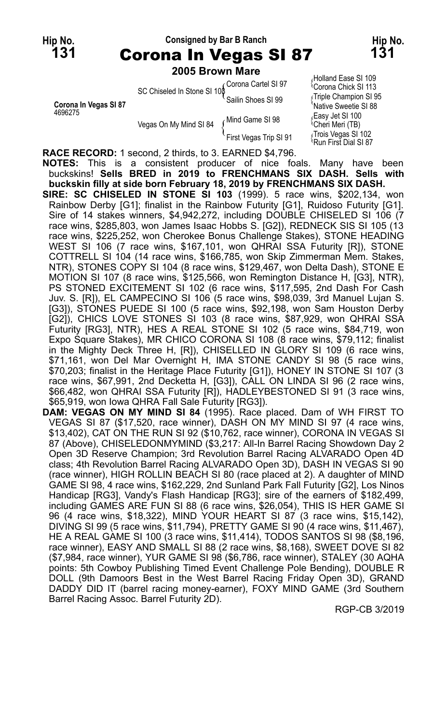## **Hip No. Consigned by Bar B Ranch Hip No. 131** Corona In Vegas SI 87 **131**

#### **2005 Brown Mare**

**Corona In Vegas SI 87**<br>4696275

4699 Vegas On My Mind SI 84 (Mind Game SI 98 Kegas On My Mind SI 84 (Mind Game SI 98 Vegas On My Mind SI 84 (Iming Game of 30 Meri Meri (TB)<br>First Vegas Trip SI 91 (Incis Vegas SI 102 M<br>Run First Dial SI 87 (

Holland Ease SI 109 Corona Cartel SI 97 { Corona Chick SI 113<br>Sailin Shoes SI 99 [Triple Champion SI 95<br>Native Sweetie SI 88

**RACE RECORD:** 1 second, 2 thirds, to 3. EARNED \$4,796.

**NOTES:** This is a consistent producer of nice foals. Many have been buckskins! **Sells BRED in 2019 to FRENCHMANS SIX DASH. Sells with buckskin filly at side born February 18, 2019 by FRENCHMANS SIX DASH.**

- **SIRE: SC CHISELED IN STONE SI 103** (1999). 5 race wins, \$202,134, won Rainbow Derby [G1]; finalist in the Rainbow Futurity [G1], Ruidoso Futurity [G1]. Sire of 14 stakes winners, \$4,942,272, including DOUBLE CHISELED SI 106 (7 race wins, \$285,803, won James Isaac Hobbs S. [G2]), REDNECK SIS SI 105 (13 race wins, \$225,252, won Cherokee Bonus Challenge Stakes), STONE HEADING WEST SI 106 (7 race wins, \$167,101, won QHRAI SSA Futurity [R]), STONE COTTRELL SI 104 (14 race wins, \$166,785, won Skip Zimmerman Mem. Stakes, NTR), STONES COPY SI 104 (8 race wins, \$129,467, won Delta Dash), STONE E MOTION SI 107 (8 race wins, \$125,566, won Remington Distance H, [G3], NTR), PS STONED EXCITEMENT SI 102 (6 race wins, \$117,595, 2nd Dash For Cash Juv. S. [R]), EL CAMPECINO SI 106 (5 race wins, \$98,039, 3rd Manuel Lujan S. [G3]), STONES PUEDE SI 100 (5 race wins, \$92,198, won Sam Houston Derby [G2]), CHICS LOVE STONES SI 103 (8 race wins, \$87,929, won QHRAI SSA Futurity [RG3], NTR), HES A REAL STONE SI 102 (5 race wins, \$84,719, won Expo Square Stakes), MR CHICO CORONA SI 108 (8 race wins, \$79,112; finalist in the Mighty Deck Three H, [R]), CHISELLED IN GLORY SI 109 (6 race wins, \$71,161, won Del Mar Overnight H, IMA STONE CANDY SI 98 (5 race wins, \$70,203; finalist in the Heritage Place Futurity [G1]), HONEY IN STONE SI 107 (3 race wins, \$67,991, 2nd Decketta H, [G3]), CALL ON LINDA SI 96 (2 race wins, \$66,482, won QHRAI SSA Futurity [R]), HADLEYBESTONED SI 91 (3 race wins, \$65,919, won Iowa QHRA Fall Sale Futurity [RG3]).
- **DAM: VEGAS ON MY MIND SI 84** (1995). Race placed. Dam of WH FIRST TO VEGAS SI 87 (\$17,520, race winner), DASH ON MY MIND SI 97 (4 race wins, \$13,402), CAT ON THE RUN SI 92 (\$10,762, race winner), CORONA IN VEGAS SI 87 (Above), CHISELEDONMYMIND (\$3,217: All-In Barrel Racing Showdown Day 2 Open 3D Reserve Champion; 3rd Revolution Barrel Racing ALVARADO Open 4D class; 4th Revolution Barrel Racing ALVARADO Open 3D), DASH IN VEGAS SI 90 (race winner), HIGH ROLLIN BEACH SI 80 (race placed at 2). A daughter of MIND GAME SI 98, 4 race wins, \$162,229, 2nd Sunland Park Fall Futurity [G2], Los Ninos Handicap [RG3], Vandy's Flash Handicap [RG3]; sire of the earners of \$182,499, including GAMES ARE FUN SI 88 (6 race wins, \$26,054), THIS IS HER GAME SI 96 (4 race wins, \$18,322), MIND YOUR HEART SI 87 (3 race wins, \$15,142), DIVING SI 99 (5 race wins, \$11,794), PRETTY GAME SI 90 (4 race wins, \$11,467), HE A REAL GAME SI 100 (3 race wins, \$11,414), TODOS SANTOS SI 98 (\$8,196, race winner), EASY AND SMALL SI 88 (2 race wins, \$8,168), SWEET DOVE SI 82 (\$7,984, race winner), YUR GAME SI 98 (\$6,786, race winner), STALEY (30 AQHA points: 5th Cowboy Publishing Timed Event Challenge Pole Bending), DOUBLE R DOLL (9th Damoors Best in the West Barrel Racing Friday Open 3D), GRAND DADDY DID IT (barrel racing money-earner), FOXY MIND GAME (3rd Southern Barrel Racing Assoc. Barrel Futurity 2D).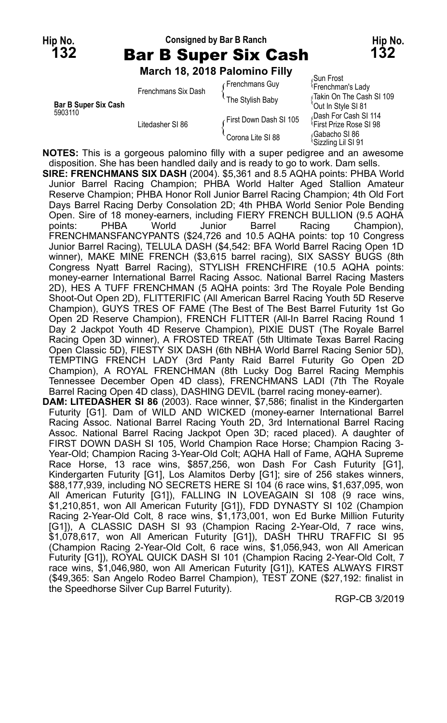## **Hip No. Consigned by Bar B Ranch Hip No. 132** Bar B Super Six Cash **132**

**March 18, 2018 Palomino Filly**

|                                        | Frenchmans Six Dash | Frenchmans Guy         | oull Flust)<br><sup>l</sup> Frenchman's Lady                |
|----------------------------------------|---------------------|------------------------|-------------------------------------------------------------|
| <b>Bar B Super Six Cash</b><br>5903110 |                     | The Stylish Baby       | √Takin On The Cash SI<br>'Out In Style SI 81                |
|                                        | Litedasher SI 86    | First Down Dash SI 105 | Dash For Cash SI 114<br><sup>1</sup> First Prize Rose SI 98 |
|                                        |                     | Corona Lite SI 88      | Gabacho SI 86<br><sup>1</sup> Sizzling Lil SI 91            |

Sun Frost<br>Frenchman's Lady Fakin On The Cash SI 109 035 Dash For Cash SI<br>First Prize Rose SI 98 Sizzling Lil SI 91

**NOTES:** This is a gorgeous palomino filly with a super pedigree and an awesome disposition. She has been handled daily and is ready to go to work. Dam sells. **SIRE: FRENCHMANS SIX DASH** (2004). \$5,361 and 8.5 AQHA points: PHBA World Junior Barrel Racing Champion; PHBA World Halter Aged Stallion Amateur Reserve Champion; PHBA Honor Roll Junior Barrel Racing Champion; 4th Old Fort Days Barrel Racing Derby Consolation 2D; 4th PHBA World Senior Pole Bending Open. Sire of 18 money-earners, including FIERY FRENCH BULLION (9.5 AQHA points: PHBA World Junior Barrel Racing Champion), FRENCHMANSFANCYPANTS (\$24,726 and 10.5 AQHA points: top 10 Congress Junior Barrel Racing), TELULA DASH (\$4,542: BFA World Barrel Racing Open 1D winner), MAKE MINE FRENCH (\$3,615 barrel racing), SIX SASSY BUGS (8th Congress Nyatt Barrel Racing), STYLISH FRENCHFIRE (10.5 AQHA points: money-earner International Barrel Racing Assoc. National Barrel Racing Masters 2D), HES A TUFF FRENCHMAN (5 AQHA points: 3rd The Royale Pole Bending Shoot-Out Open 2D), FLITTERIFIC (All American Barrel Racing Youth 5D Reserve Champion), GUYS TRES OF FAME (The Best of The Best Barrel Futurity 1st Go Open 2D Reserve Champion), FRENCH FLITTER (All-In Barrel Racing Round 1 Day 2 Jackpot Youth 4D Reserve Champion), PIXIE DUST (The Royale Barrel Racing Open 3D winner), A FROSTED TREAT (5th Ultimate Texas Barrel Racing Open Classic 5D), FIESTY SIX DASH (6th NBHA World Barrel Racing Senior 5D), TEMPTING FRENCH LADY (3rd Panty Raid Barrel Futurity Go Open 2D Champion), A ROYAL FRENCHMAN (8th Lucky Dog Barrel Racing Memphis Tennessee December Open 4D class), FRENCHMANS LADI (7th The Royale Barrel Racing Open 4D class), DASHING DEVIL (barrel racing money-earner). **DAM: LITEDASHER SI 86** (2003). Race winner, \$7,586; finalist in the Kindergarten Futurity [G1]. Dam of WILD AND WICKED (money-earner International Barrel Racing Assoc. National Barrel Racing Youth 2D, 3rd International Barrel Racing Assoc. National Barrel Racing Jackpot Open 3D; raced placed). A daughter of FIRST DOWN DASH SI 105, World Champion Race Horse; Champion Racing 3- Year-Old; Champion Racing 3-Year-Old Colt; AQHA Hall of Fame, AQHA Supreme Race Horse, 13 race wins, \$857,256, won Dash For Cash Futurity [G1], Kindergarten Futurity [G1], Los Alamitos Derby [G1]; sire of 256 stakes winners, \$88,177,939, including NO SECRETS HERE SI 104 (6 race wins, \$1,637,095, won All American Futurity [G1]), FALLING IN LOVEAGAIN SI 108 (9 race wins, \$1,210,851, won All American Futurity [G1]), FDD DYNASTY SI 102 (Champion Racing 2-Year-Old Colt, 8 race wins, \$1,173,001, won Ed Burke Million Futurity [G1]), A CLASSIC DASH SI 93 (Champion Racing 2-Year-Old, 7 race wins, \$1,078,617, won All American Futurity [G1]), DASH THRU TRAFFIC SI 95 (Champion Racing 2-Year-Old Colt, 6 race wins, \$1,056,943, won All American Futurity [G1]), ROYAL QUICK DASH SI 101 (Champion Racing 2-Year-Old Colt, 7 race wins, \$1,046,980, won All American Futurity [G1]), KATES ALWAYS FIRST (\$49,365: San Angelo Rodeo Barrel Champion), TEST ZONE (\$27,192: finalist in

the Speedhorse Silver Cup Barrel Futurity).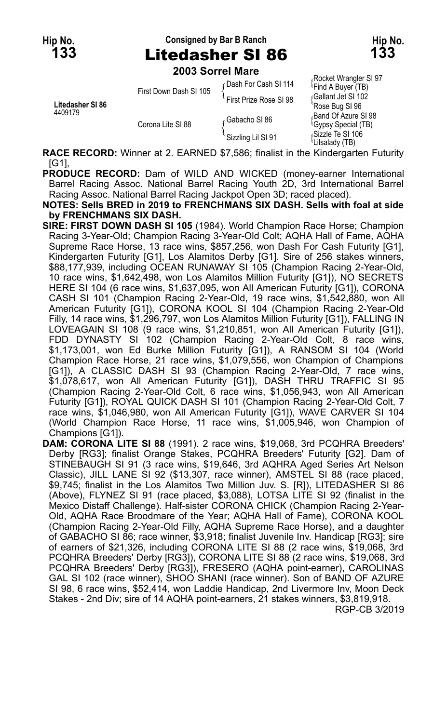**Hip No. Consigned by Bar B Ranch Hip No. 133** Litedasher SI 86 **133**

**2003 Sorrel Mare**

|                             | LUUJ JUITEI MAIG                                                                |                        |                                                         |  |
|-----------------------------|---------------------------------------------------------------------------------|------------------------|---------------------------------------------------------|--|
| Litedasher SI 86<br>4409179 | First Down Dash SI 105                                                          | ⊊Dash For Cash SI 114  | Rocket Wrangler SI 97<br><sup>1</sup> Find A Buyer (TB) |  |
|                             |                                                                                 | First Prize Rose SI 98 | Gallant Jet SI 102<br>'Rose Bug SI 96                   |  |
|                             | Corona Lite SI 88                                                               | ∠Gabacho SI 86         | Band Of Azure SI 98<br>Gypsy Special (TB)               |  |
|                             |                                                                                 | Sizzling Lil SI 91     | Sizzle Te SI 106<br><i>Lilsalady (TB)</i>               |  |
|                             | $\bullet$ $\bullet$ $\bullet$ $\bullet$ $\bullet$ $\bullet$ $\bullet$ $\bullet$ |                        |                                                         |  |

**RACE RECORD:** Winner at 2. EARNED \$7,586; finalist in the Kindergarten Futurity [G1],

**PRODUCE RECORD:** Dam of WILD AND WICKED (money-earner International Barrel Racing Assoc. National Barrel Racing Youth 2D, 3rd International Barrel Racing Assoc. National Barrel Racing Jackpot Open 3D; raced placed).

**NOTES: Sells BRED in 2019 to FRENCHMANS SIX DASH. Sells with foal at side by FRENCHMANS SIX DASH.**

- **SIRE: FIRST DOWN DASH SI 105** (1984). World Champion Race Horse; Champion Racing 3-Year-Old; Champion Racing 3-Year-Old Colt; AQHA Hall of Fame, AQHA Supreme Race Horse, 13 race wins, \$857,256, won Dash For Cash Futurity [G1], Kindergarten Futurity [G1], Los Alamitos Derby [G1]. Sire of 256 stakes winners, \$88,177,939, including OCEAN RUNAWAY SI 105 (Champion Racing 2-Year-Old, 10 race wins, \$1,642,498, won Los Alamitos Million Futurity [G1]), NO SECRETS HERE SI 104 (6 race wins, \$1,637,095, won All American Futurity [G1]), CORONA CASH SI 101 (Champion Racing 2-Year-Old, 19 race wins, \$1,542,880, won All American Futurity [G1]), CORONA KOOL SI 104 (Champion Racing 2-Year-Old Filly, 14 race wins, \$1,296,797, won Los Alamitos Million Futurity [G1]), FALLING IN LOVEAGAIN SI 108 (9 race wins, \$1,210,851, won All American Futurity [G1]), FDD DYNASTY SI 102 (Champion Racing 2-Year-Old Colt, 8 race wins, \$1,173,001, won Ed Burke Million Futurity [G1]), A RANSOM SI 104 (World Champion Race Horse, 21 race wins, \$1,079,556, won Champion of Champions [G1]), A CLASSIC DASH SI 93 (Champion Racing 2-Year-Old, 7 race wins, \$1,078,617, won All American Futurity [G1]), DASH THRU TRAFFIC SI 95 (Champion Racing 2-Year-Old Colt, 6 race wins, \$1,056,943, won All American Futurity [G1]), ROYAL QUICK DASH SI 101 (Champion Racing 2-Year-Old Colt, 7 race wins, \$1,046,980, won All American Futurity [G1]), WAVE CARVER SI 104 (World Champion Race Horse, 11 race wins, \$1,005,946, won Champion of Champions [G1]).
- **DAM: CORONA LITE SI 88** (1991). 2 race wins, \$19,068, 3rd PCQHRA Breeders' Derby [RG3]; finalist Orange Stakes, PCQHRA Breeders' Futurity [G2]. Dam of STINEBAUGH SI 91 (3 race wins, \$19,646, 3rd AQHRA Aged Series Art Nelson Classic), JILL LANE SI 92 (\$13,307, race winner), AMSTEL SI 88 (race placed, \$9,745; finalist in the Los Alamitos Two Million Juv. S. [R]), LITEDASHER SI 86 (Above), FLYNEZ SI 91 (race placed, \$3,088), LOTSA LITE SI 92 (finalist in the Mexico Distaff Challenge). Half-sister CORONA CHICK (Champion Racing 2-Year-Old, AQHA Race Broodmare of the Year; AQHA Hall of Fame), CORONA KOOL (Champion Racing 2-Year-Old Filly, AQHA Supreme Race Horse), and a daughter of GABACHO SI 86; race winner, \$3,918; finalist Juvenile Inv. Handicap [RG3]; sire of earners of \$21,326, including CORONA LITE SI 88 (2 race wins, \$19,068, 3rd PCQHRA Breeders' Derby [RG3]), CORONA LITE SI 88 (2 race wins, \$19,068, 3rd PCQHRA Breeders' Derby [RG3]), FRESERO (AQHA point-earner), CAROLINAS GAL SI 102 (race winner), SHOO SHANI (race winner). Son of BAND OF AZURE SI 98, 6 race wins, \$52,414, won Laddie Handicap, 2nd Livermore Inv, Moon Deck Stakes - 2nd Div; sire of 14 AQHA point-earners, 21 stakes winners, \$3,819,918. RGP-CB 3/2019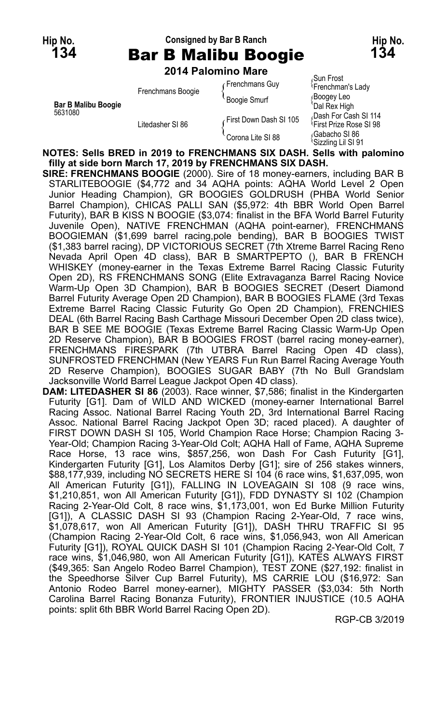#### **Hip No. Consigned by Bar B Ranch Hip No. 134** Bar B Malibu Boogie **134**

**2014 Palomino Mare**

|                                       | 2017 I GIOIIIIIV MGIG |                        |                                                             |
|---------------------------------------|-----------------------|------------------------|-------------------------------------------------------------|
| <b>Bar B Malibu Boogie</b><br>5631080 | Frenchmans Boogie     | Frenchmans Guy         | Sun Frost،<br><sup>1</sup> Frenchman's Lady                 |
|                                       |                       | <b>Boogie Smurf</b>    | ∫Boogey Leo<br>'Dal Rex High                                |
|                                       | Litedasher SI 86      | First Down Dash SI 105 | Dash For Cash SI 114<br><sup>1</sup> First Prize Rose SI 98 |
|                                       |                       | Corona Lite SI 88      | Gabacho SI 86<br><sup>\</sup> Sizzlina Lil SI 91            |

**NOTES: Sells BRED in 2019 to FRENCHMANS SIX DASH. Sells with palomino filly at side born March 17, 2019 by FRENCHMANS SIX DASH.**

**SIRE: FRENCHMANS BOOGIE** (2000). Sire of 18 money-earners, including BAR B STARLITEBOOGIE (\$4,772 and 34 AQHA points: AQHA World Level 2 Open Junior Heading Champion), GR BOOGIES GOLDRUSH (PHBA World Senior Barrel Champion), CHICAS PALLI SAN (\$5,972: 4th BBR World Open Barrel Futurity), BAR B KISS N BOOGIE (\$3,074: finalist in the BFA World Barrel Futurity Juvenile Open), NATIVE FRENCHMAN (AQHA point-earner), FRENCHMANS BOOGIEMAN (\$1,699 barrel racing,pole bending), BAR B BOOGIES TWIST (\$1,383 barrel racing), DP VICTORIOUS SECRET (7th Xtreme Barrel Racing Reno Nevada April Open 4D class), BAR B SMARTPEPTO (), BAR B FRENCH WHISKEY (money-earner in the Texas Extreme Barrel Racing Classic Futurity Open 2D), RS FRENCHMANS SONG (Elite Extravaganza Barrel Racing Novice Warm-Up Open 3D Champion), BAR B BOOGIES SECRET (Desert Diamond Barrel Futurity Average Open 2D Champion), BAR B BOOGIES FLAME (3rd Texas Extreme Barrel Racing Classic Futurity Go Open 2D Champion), FRENCHIES DEAL (6th Barrel Racing Bash Carthage Missouri December Open 2D class twice), BAR B SEE ME BOOGIE (Texas Extreme Barrel Racing Classic Warm-Up Open 2D Reserve Champion), BAR B BOOGIES FROST (barrel racing money-earner), FRENCHMANS FIRESPARK (7th UTBRA Barrel Racing Open 4D class), SUNFROSTED FRENCHMAN (New YEARS Fun Run Barrel Racing Average Youth 2D Reserve Champion), BOOGIES SUGAR BABY (7th No Bull Grandslam Jacksonville World Barrel League Jackpot Open 4D class).

**DAM: LITEDASHER SI 86** (2003). Race winner, \$7,586; finalist in the Kindergarten Futurity [G1]. Dam of WILD AND WICKED (money-earner International Barrel Racing Assoc. National Barrel Racing Youth 2D, 3rd International Barrel Racing Assoc. National Barrel Racing Jackpot Open 3D; raced placed). A daughter of FIRST DOWN DASH SI 105, World Champion Race Horse; Champion Racing 3- Year-Old; Champion Racing 3-Year-Old Colt; AQHA Hall of Fame, AQHA Supreme Race Horse, 13 race wins, \$857,256, won Dash For Cash Futurity [G1], Kindergarten Futurity [G1], Los Alamitos Derby [G1]; sire of 256 stakes winners, \$88,177,939, including NO SECRETS HERE SI 104 (6 race wins, \$1,637,095, won All American Futurity [G1]), FALLING IN LOVEAGAIN SI 108 (9 race wins, \$1,210,851, won All American Futurity [G1]), FDD DYNASTY SI 102 (Champion Racing 2-Year-Old Colt, 8 race wins, \$1,173,001, won Ed Burke Million Futurity [G1]), A CLASSIC DASH SI 93 (Champion Racing 2-Year-Old, 7 race wins, \$1,078,617, won All American Futurity [G1]), DASH THRU TRAFFIC SI 95 (Champion Racing 2-Year-Old Colt, 6 race wins, \$1,056,943, won All American Futurity [G1]), ROYAL QUICK DASH SI 101 (Champion Racing 2-Year-Old Colt, 7 race wins, \$1,046,980, won All American Futurity [G1]), KATES ALWAYS FIRST (\$49,365: San Angelo Rodeo Barrel Champion), TEST ZONE (\$27,192: finalist in the Speedhorse Silver Cup Barrel Futurity), MS CARRIE LOU (\$16,972: San Antonio Rodeo Barrel money-earner), MIGHTY PASSER (\$3,034: 5th North Carolina Barrel Racing Bonanza Futurity), FRONTIER INJUSTICE (10.5 AQHA points: split 6th BBR World Barrel Racing Open 2D).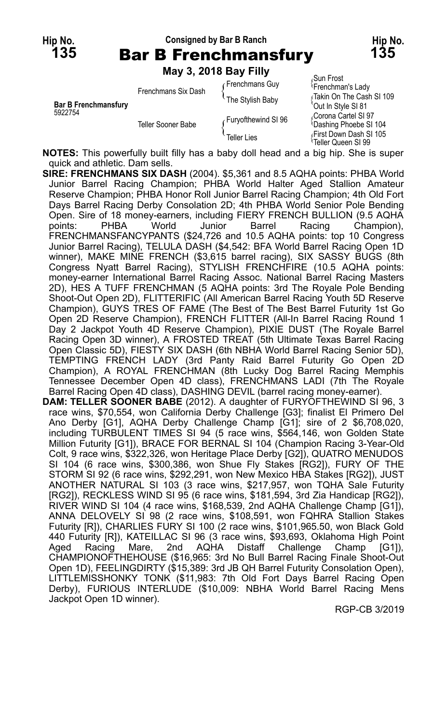#### **Hip No. Consigned by Bar B Ranch Hip No. 135** Bar B Frenchmansfury **135**

**May 3, 2018 Bay Filly**

|                             | $1114$ $\sqrt{21}$ $\sqrt{21}$ $\sqrt{21}$ $\sqrt{21}$ $\sqrt{21}$ |                     |                                                           |
|-----------------------------|--------------------------------------------------------------------|---------------------|-----------------------------------------------------------|
|                             | Frenchmans Six Dash                                                | Frenchmans Guy      | Sun Frost،<br><sup>l</sup> Frenchman's Lady               |
| <b>Bar B Frenchmansfury</b> |                                                                    | The Stylish Baby    | ∫Takin On The Cash SI 109<br>Out In Style SI 81           |
| 5922754                     | Teller Sooner Babe                                                 | Furyofthewind SI 96 | Corona Cartel SI 97<br><b>Dashing Phoebe SI 104</b>       |
|                             |                                                                    | <b>Teller Lies</b>  | First Down Dash SI 105<br><sup>t</sup> Teller Queen SI 99 |

**NOTES:** This powerfully built filly has a baby doll head and a big hip. She is super quick and athletic. Dam sells.

**SIRE: FRENCHMANS SIX DASH** (2004). \$5,361 and 8.5 AQHA points: PHBA World Junior Barrel Racing Champion; PHBA World Halter Aged Stallion Amateur Reserve Champion; PHBA Honor Roll Junior Barrel Racing Champion; 4th Old Fort Days Barrel Racing Derby Consolation 2D; 4th PHBA World Senior Pole Bending Open. Sire of 18 money-earners, including FIERY FRENCH BULLION (9.5 AQHA<br>
points: PHBA World Junior Barrel Racing Champion), points: PHBA World Junior Barrel Racing Champion), FRENCHMANSFANCYPANTS (\$24,726 and 10.5 AQHA points: top 10 Congress Junior Barrel Racing), TELULA DASH (\$4,542: BFA World Barrel Racing Open 1D winner), MAKE MINE FRENCH (\$3,615 barrel racing), SIX SASSY BUGS (8th Congress Nyatt Barrel Racing), STYLISH FRENCHFIRE (10.5 AQHA points: money-earner International Barrel Racing Assoc. National Barrel Racing Masters 2D), HES A TUFF FRENCHMAN (5 AQHA points: 3rd The Royale Pole Bending Shoot-Out Open 2D), FLITTERIFIC (All American Barrel Racing Youth 5D Reserve Champion), GUYS TRES OF FAME (The Best of The Best Barrel Futurity 1st Go Open 2D Reserve Champion), FRENCH FLITTER (All-In Barrel Racing Round 1 Day 2 Jackpot Youth 4D Reserve Champion), PIXIE DUST (The Royale Barrel Racing Open 3D winner), A FROSTED TREAT (5th Ultimate Texas Barrel Racing Open Classic 5D), FIESTY SIX DASH (6th NBHA World Barrel Racing Senior 5D), TEMPTING FRENCH LADY (3rd Panty Raid Barrel Futurity Go Open 2D Champion), A ROYAL FRENCHMAN (8th Lucky Dog Barrel Racing Memphis Tennessee December Open 4D class), FRENCHMANS LADI (7th The Royale Barrel Racing Open 4D class), DASHING DEVIL (barrel racing money-earner). **DAM: TELLER SOONER BABE** (2012). A daughter of FURYOFTHEWIND SI 96, 3 race wins, \$70,554, won California Derby Challenge [G3]; finalist El Primero Del Ano Derby [G1], AQHA Derby Challenge Champ [G1]; sire of 2 \$6,708,020, including TURBULENT TIMES SI 94 (5 race wins, \$564,146, won Golden State Million Futurity [G1]), BRACE FOR BERNAL SI 104 (Champion Racing 3-Year-Old Colt, 9 race wins, \$322,326, won Heritage Place Derby [G2]), QUATRO MENUDOS SI 104 (6 race wins, \$300,386, won Shue Fly Stakes [RG2]), FURY OF THE STORM SI 92 (6 race wins, \$292,291, won New Mexico HBA Stakes [RG2]), JUST ANOTHER NATURAL SI 103 (3 race wins, \$217,957, won TQHA Sale Futurity [RG2]), RECKLESS WIND SI 95 (6 race wins, \$181,594, 3rd Zia Handicap [RG2]), RIVER WIND SI 104 (4 race wins, \$168,539, 2nd AQHA Challenge Champ [G1]), ANNA DELOVELY SI 98 (2 race wins, \$108,591, won FQHRA Stallion Stakes Futurity [R]), CHARLIES FURY SI 100 (2 race wins, \$101,965.50, won Black Gold 440 Futurity [R]), KATEILLAC SI 96 (3 race wins, \$93,693, Oklahoma High Point Aged Racing Mare, 2nd AQHA Distaff Challenge Champ [G1]), CHAMPIONOFTHEHOUSE (\$16,965: 3rd No Bull Barrel Racing Finale Shoot-Out

Open 1D), FEELINGDIRTY (\$15,389: 3rd JB QH Barrel Futurity Consolation Open), LITTLEMISSHONKY TONK (\$11,983: 7th Old Fort Days Barrel Racing Open Derby), FURIOUS INTERLUDE (\$10,009: NBHA World Barrel Racing Mens Jackpot Open 1D winner).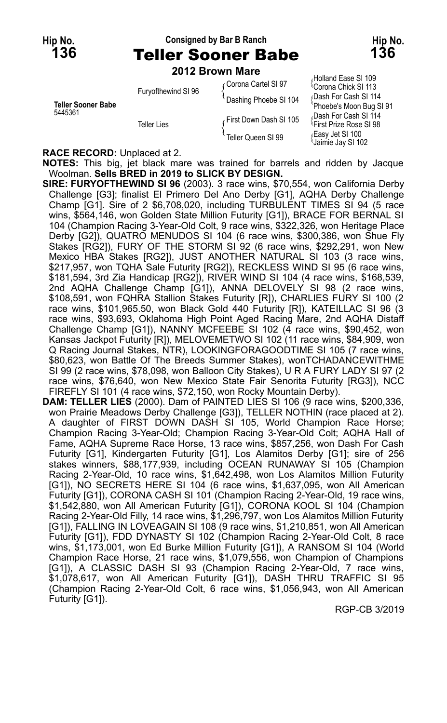#### **Hip No. Consigned by Bar B Ranch Hip No. 136** Teller Sooner Babe **136**

**2012 Brown Mare**

| Teller Sooner Babe<br>5445361 | Furyofthewind SI 96 | Corona Cartel SI 97    | (HUIIQHU LASC OF IVO<br><sup>1</sup> Corona Chick SI 113    |
|-------------------------------|---------------------|------------------------|-------------------------------------------------------------|
|                               |                     | Dashing Phoebe SI 104  | Dash For Cash SI 114                                        |
|                               | Teller Lies         |                        | 'Phoebe's Moon Bug S                                        |
|                               |                     | First Down Dash SI 105 | Dash For Cash SI 114<br><sup>1</sup> First Prize Rose SI 98 |
|                               |                     | Teller Queen SI 99     | Easy Jet SI 100<br>Jaimie Jay SI 102                        |

Holland Ease SI 109<br>'Corona Chick SI 113 Dash For Cash SI 114 Phoebe's Moon Bug SI 91 Dash For Cash SI 114<br>First Prize Rose SI 98 Jaimie Jay SI 102

#### **RACE RECORD:** Unplaced at 2.

**NOTES:** This big, jet black mare was trained for barrels and ridden by Jacque Woolman. **Sells BRED in 2019 to SLICK BY DESIGN.**

**SIRE: FURYOFTHEWIND SI 96** (2003). 3 race wins, \$70,554, won California Derby Challenge [G3]; finalist El Primero Del Ano Derby [G1], AQHA Derby Challenge Champ [G1]. Sire of 2 \$6,708,020, including TURBULENT TIMES SI 94 (5 race wins, \$564,146, won Golden State Million Futurity [G1]), BRACE FOR BERNAL SI 104 (Champion Racing 3-Year-Old Colt, 9 race wins, \$322,326, won Heritage Place Derby [G2]), QUATRO MENUDOS SI 104 (6 race wins, \$300,386, won Shue Fly Stakes [RG2]), FURY OF THE STORM SI 92 (6 race wins, \$292,291, won New Mexico HBA Stakes [RG2]), JUST ANOTHER NATURAL SI 103 (3 race wins, \$217,957, won TQHA Sale Futurity [RG2]), RECKLESS WIND SI 95 (6 race wins, \$181,594, 3rd Zia Handicap [RG2]), RIVER WIND SI 104 (4 race wins, \$168,539, 2nd AQHA Challenge Champ [G1]), ANNA DELOVELY SI 98 (2 race wins, \$108,591, won FQHRA Stallion Stakes Futurity [R]), CHARLIES FURY SI 100 (2 race wins, \$101,965.50, won Black Gold 440 Futurity [R]), KATEILLAC SI 96 (3 race wins, \$93,693, Oklahoma High Point Aged Racing Mare, 2nd AQHA Distaff Challenge Champ [G1]), NANNY MCFEEBE SI 102 (4 race wins, \$90,452, won Kansas Jackpot Futurity [R]), MELOVEMETWO SI 102 (11 race wins, \$84,909, won Q Racing Journal Stakes, NTR), LOOKINGFORAGOODTIME SI 105 (7 race wins, \$80,623, won Battle Of The Breeds Summer Stakes), wonTCHADANCEWITHME SI 99 (2 race wins, \$78,098, won Balloon City Stakes), U R A FURY LADY SI 97 (2 race wins, \$76,640, won New Mexico State Fair Senorita Futurity [RG3]), NCC FIREFLY SI 101 (4 race wins, \$72,150, won Rocky Mountain Derby).

**DAM: TELLER LIES** (2000). Dam of PAINTED LIES SI 106 (9 race wins, \$200,336, won Prairie Meadows Derby Challenge [G3]), TELLER NOTHIN (race placed at 2). A daughter of FIRST DOWN DASH SI 105, World Champion Race Horse; Champion Racing 3-Year-Old; Champion Racing 3-Year-Old Colt; AQHA Hall of Fame, AQHA Supreme Race Horse, 13 race wins, \$857,256, won Dash For Cash Futurity [G1], Kindergarten Futurity [G1], Los Alamitos Derby [G1]; sire of 256 stakes winners, \$88,177,939, including OCEAN RUNAWAY SI 105 (Champion Racing 2-Year-Old, 10 race wins, \$1,642,498, won Los Alamitos Million Futurity [G1]), NO SECRETS HERE SI 104 (6 race wins, \$1,637,095, won All American Futurity [G1]), CORONA CASH SI 101 (Champion Racing 2-Year-Old, 19 race wins, \$1,542,880, won All American Futurity [G1]), CORONA KOOL SI 104 (Champion Racing 2-Year-Old Filly, 14 race wins, \$1,296,797, won Los Alamitos Million Futurity [G1]), FALLING IN LOVEAGAIN SI 108 (9 race wins, \$1,210,851, won All American Futurity [G1]), FDD DYNASTY SI 102 (Champion Racing 2-Year-Old Colt, 8 race wins, \$1,173,001, won Ed Burke Million Futurity [G1]), A RANSOM SI 104 (World Champion Race Horse, 21 race wins, \$1,079,556, won Champion of Champions [G1]), A CLASSIC DASH SI 93 (Champion Racing 2-Year-Old, 7 race wins, \$1,078,617, won All American Futurity [G1]), DASH THRU TRAFFIC SI 95 (Champion Racing 2-Year-Old Colt, 6 race wins, \$1,056,943, won All American Futurity [G1]).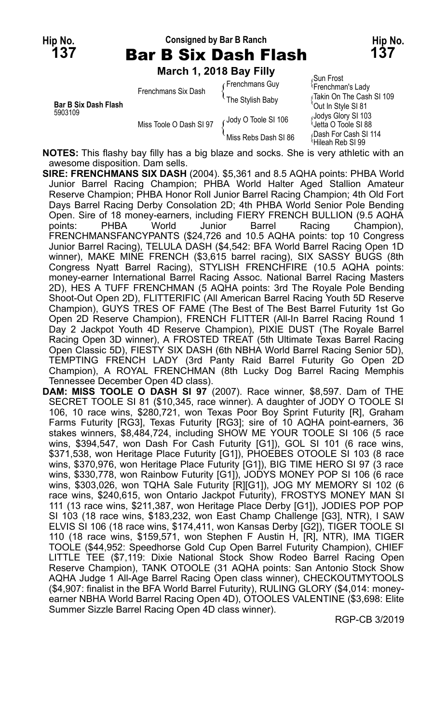## **Hip No. Consigned by Bar B Ranch Hip No. 137** Bar B Six Dash Flash **137**

**March 1, 2018 Bay Filly**

|  |                             | Frenchmans Six Dash     | Frenchmans Guy       | Sun Frost<br><sup>l</sup> Frenchman's Lady       |
|--|-----------------------------|-------------------------|----------------------|--------------------------------------------------|
|  | <b>Bar B Six Dash Flash</b> |                         | The Stylish Baby     | rTakin On The Cash SI 109<br>'Out In Style SI 81 |
|  | 5903109                     | Miss Toole O Dash SI 97 | Jody O Toole SI 106  | Jodys Glory SI 103<br>Jetta O Toole SI 88        |
|  |                             |                         | Miss Rebs Dash SI 86 | Dash For Cash SI 114<br>≀Hileah Reb SI 99        |

**NOTES:** This flashy bay filly has a big blaze and socks. She is very athletic with an awesome disposition. Dam sells.

- **SIRE: FRENCHMANS SIX DASH** (2004). \$5,361 and 8.5 AQHA points: PHBA World Junior Barrel Racing Champion; PHBA World Halter Aged Stallion Amateur Reserve Champion; PHBA Honor Roll Junior Barrel Racing Champion; 4th Old Fort Days Barrel Racing Derby Consolation 2D; 4th PHBA World Senior Pole Bending Open. Sire of 18 money-earners, including FIERY FRENCH BULLION (9.5 AQHA<br>
points: PHBA World Junior Barrel Racing Champion), points: PHBA World Junior Barrel Racing Champion), FRENCHMANSFANCYPANTS (\$24,726 and 10.5 AQHA points: top 10 Congress Junior Barrel Racing), TELULA DASH (\$4,542: BFA World Barrel Racing Open 1D winner), MAKE MINE FRENCH (\$3,615 barrel racing), SIX SASSY BUGS (8th Congress Nyatt Barrel Racing), STYLISH FRENCHFIRE (10.5 AQHA points: money-earner International Barrel Racing Assoc. National Barrel Racing Masters 2D), HES A TUFF FRENCHMAN (5 AQHA points: 3rd The Royale Pole Bending Shoot-Out Open 2D), FLITTERIFIC (All American Barrel Racing Youth 5D Reserve Champion), GUYS TRES OF FAME (The Best of The Best Barrel Futurity 1st Go Open 2D Reserve Champion), FRENCH FLITTER (All-In Barrel Racing Round 1 Day 2 Jackpot Youth 4D Reserve Champion), PIXIE DUST (The Royale Barrel Racing Open 3D winner), A FROSTED TREAT (5th Ultimate Texas Barrel Racing Open Classic 5D), FIESTY SIX DASH (6th NBHA World Barrel Racing Senior 5D), TEMPTING FRENCH LADY (3rd Panty Raid Barrel Futurity Go Open 2D Champion), A ROYAL FRENCHMAN (8th Lucky Dog Barrel Racing Memphis Tennessee December Open 4D class).
- **DAM: MISS TOOLE O DASH SI 97** (2007). Race winner, \$8,597. Dam of THE SECRET TOOLE SI 81 (\$10,345, race winner). A daughter of JODY O TOOLE SI 106, 10 race wins, \$280,721, won Texas Poor Boy Sprint Futurity [R], Graham Farms Futurity [RG3], Texas Futurity [RG3]; sire of 10 AQHA point-earners, 36 stakes winners, \$8,484,724, including SHOW ME YOUR TOOLE SI 106 (5 race wins, \$394,547, won Dash For Cash Futurity [G1]), GOL SI 101 (6 race wins, \$371,538, won Heritage Place Futurity [G1]), PHOEBES OTOOLE SI 103 (8 race wins, \$370,976, won Heritage Place Futurity [G1]), BIG TIME HERO SI 97 (3 race wins, \$330,778, won Rainbow Futurity [G1]), JODYS MONEY POP SI 106 (6 race wins, \$303,026, won TQHA Sale Futurity [R][G1]), JOG MY MEMORY SI 102 (6 race wins, \$240,615, won Ontario Jackpot Futurity), FROSTYS MONEY MAN SI 111 (13 race wins, \$211,387, won Heritage Place Derby [G1]), JODIES POP POP SI 103 (18 race wins, \$183,232, won East Champ Challenge [G3], NTR), I SAW ELVIS SI 106 (18 race wins, \$174,411, won Kansas Derby [G2]), TIGER TOOLE SI 110 (18 race wins, \$159,571, won Stephen F Austin H, [R], NTR), IMA TIGER TOOLE (\$44,952: Speedhorse Gold Cup Open Barrel Futurity Champion), CHIEF LITTLE TEE (\$7,119: Dixie National Stock Show Rodeo Barrel Racing Open Reserve Champion), TANK OTOOLE (31 AQHA points: San Antonio Stock Show AQHA Judge 1 All-Age Barrel Racing Open class winner), CHECKOUTMYTOOLS (\$4,907: finalist in the BFA World Barrel Futurity), RULING GLORY (\$4,014: moneyearner NBHA World Barrel Racing Open 4D), OTOOLES VALENTINE (\$3,698: Elite Summer Sizzle Barrel Racing Open 4D class winner).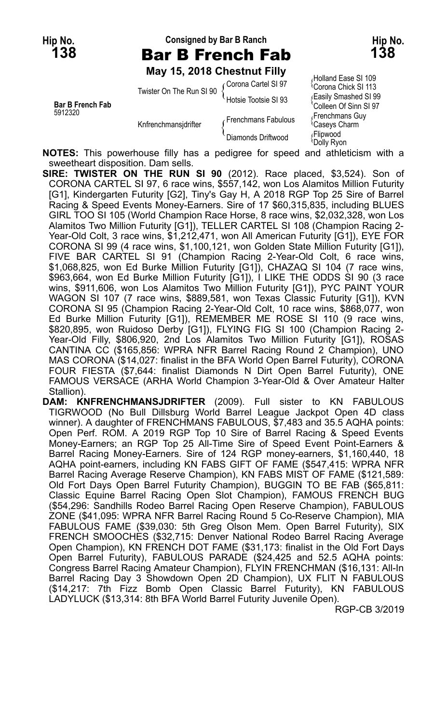## **Hip No. Consigned by Bar B Ranch Hip No. 138** Bar B French Fab **138**

**May 15, 2018 Chestnut Filly**

**Bar B French Fab** Colleen Of Sinn SI 97<br>5912320 **Frenchmans** Guy Express Frenchmans Fabulous (Figure of the Knifenchmans identity) Diamonds Driftwood

Holland Ease SI 109 Corona Cartel SI 97 { Twister On The Run SI 90 { Corona Cancer SI 91<br>Hotsie Tootsie SI 93 { Easily Smashed SI 99 Flipwood<br>Dolly Ryon

**NOTES:** This powerhouse filly has a pedigree for speed and athleticism with a sweetheart disposition. Dam sells.

**SIRE: TWISTER ON THE RUN SI 90** (2012). Race placed, \$3,524). Son of CORONA CARTEL SI 97, 6 race wins, \$557,142, won Los Alamitos Million Futurity [G1], Kindergarten Futurity [G2], Tiny's Gay H, A 2018 RGP Top 25 Sire of Barrel Racing & Speed Events Money-Earners. Sire of 17 \$60,315,835, including BLUES GIRL TOO SI 105 (World Champion Race Horse, 8 race wins, \$2,032,328, won Los Alamitos Two Million Futurity [G1]), TELLER CARTEL SI 108 (Champion Racing 2- Year-Old Colt, 3 race wins, \$1,212,471, won All American Futurity [G1]), EYE FOR CORONA SI 99 (4 race wins, \$1,100,121, won Golden State Million Futurity [G1]), FIVE BAR CARTEL SI 91 (Champion Racing 2-Year-Old Colt, 6 race wins, \$1,068,825, won Ed Burke Million Futurity [G1]), CHAZAQ SI 104 (7 race wins, \$963,664, won Ed Burke Million Futurity [G1]), I LIKE THE ODDS SI 90 (3 race wins, \$911,606, won Los Alamitos Two Million Futurity [G1]), PYC PAINT YOUR WAGON SI 107 (7 race wins, \$889,581, won Texas Classic Futurity [G1]), KVN CORONA SI 95 (Champion Racing 2-Year-Old Colt, 10 race wins, \$868,077, won Ed Burke Million Futurity [G1]), REMEMBER ME ROSE SI 110 (9 race wins, \$820,895, won Ruidoso Derby [G1]), FLYING FIG SI 100 (Champion Racing 2- Year-Old Filly, \$806,920, 2nd Los Alamitos Two Million Futurity [G1]), ROSAS CANTINA CC (\$165,856: WPRA NFR Barrel Racing Round 2 Champion), UNO MAS CORONA (\$14,027: finalist in the BFA World Open Barrel Futurity), CORONA FOUR FIESTA (\$7,644: finalist Diamonds N Dirt Open Barrel Futurity), ONE FAMOUS VERSACE (ARHA World Champion 3-Year-Old & Over Amateur Halter Stallion).

**DAM: KNFRENCHMANSJDRIFTER** (2009). Full sister to KN FABULOUS TIGRWOOD (No Bull Dillsburg World Barrel League Jackpot Open 4D class winner). A daughter of FRENCHMANS FABULOUS, \$7,483 and 35.5 AQHA points: Open Perf. ROM. A 2019 RGP Top 10 Sire of Barrel Racing & Speed Events Money-Earners; an RGP Top 25 All-Time Sire of Speed Event Point-Earners & Barrel Racing Money-Earners. Sire of 124 RGP money-earners, \$1,160,440, 18 AQHA point-earners, including KN FABS GIFT OF FAME (\$547,415: WPRA NFR Barrel Racing Average Reserve Champion), KN FABS MIST OF FAME (\$121,589: Old Fort Days Open Barrel Futurity Champion), BUGGIN TO BE FAB (\$65,811: Classic Equine Barrel Racing Open Slot Champion), FAMOUS FRENCH BUG (\$54,296: Sandhills Rodeo Barrel Racing Open Reserve Champion), FABULOUS ZONE (\$41,095: WPRA NFR Barrel Racing Round 5 Co-Reserve Champion), MIA FABULOUS FAME (\$39,030: 5th Greg Olson Mem. Open Barrel Futurity), SIX FRENCH SMOOCHES (\$32,715: Denver National Rodeo Barrel Racing Average Open Champion), KN FRENCH DOT FAME (\$31,173: finalist in the Old Fort Days Open Barrel Futurity), FABULOUS PARADE (\$24,425 and 52.5 AQHA points: Congress Barrel Racing Amateur Champion), FLYIN FRENCHMAN (\$16,131: All-In Barrel Racing Day 3 Showdown Open 2D Champion), UX FLIT N FABULOUS (\$14,217: 7th Fizz Bomb Open Classic Barrel Futurity), KN FABULOUS LADYLUCK (\$13,314: 8th BFA World Barrel Futurity Juvenile Open).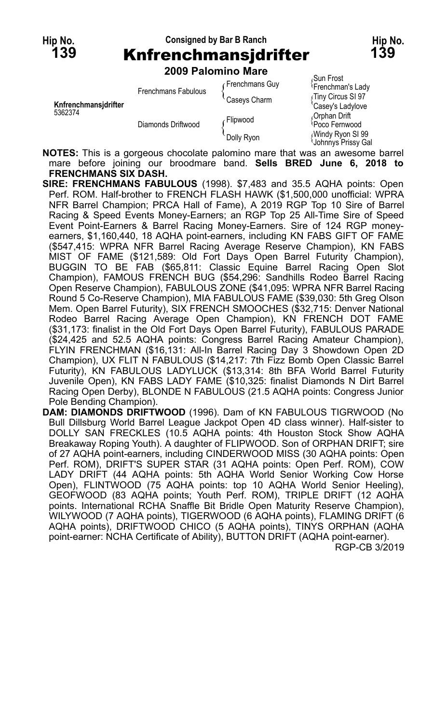# **Hip No. Consigned by Bar B Ranch Hip No. 139** Knfrenchmansjdrifter **139**

Sun Frost Frenchmans Guy {

**2009 Palomino Mare**

|                      | Frenchmans Fabulous | r Frenchmans Guy | <sup>1</sup> Frenchman's Lady          |
|----------------------|---------------------|------------------|----------------------------------------|
|                      |                     | Caseys Charm     | Tiny Circus SI 97                      |
| Knfrenchmansidrifter |                     |                  | 'Casey's Ladylove                      |
| 5362374              | Diamonds Driftwood  | ا Flipwood       | Orphan Drift                           |
|                      |                     |                  | Poco Fernwood                          |
|                      |                     | Dolly Ryon       | Windy Ryon SI 99<br>Johnnys Prissy Gal |

**NOTES:** This is a gorgeous chocolate palomino mare that was an awesome barrel mare before joining our broodmare band. **Sells BRED June 6, 2018 to FRENCHMANS SIX DASH.**

- **SIRE: FRENCHMANS FABULOUS** (1998). \$7,483 and 35.5 AQHA points: Open Perf. ROM. Half-brother to FRENCH FLASH HAWK (\$1,500,000 unofficial: WPRA NFR Barrel Champion; PRCA Hall of Fame), A 2019 RGP Top 10 Sire of Barrel Racing & Speed Events Money-Earners; an RGP Top 25 All-Time Sire of Speed Event Point-Earners & Barrel Racing Money-Earners. Sire of 124 RGP moneyearners, \$1,160,440, 18 AQHA point-earners, including KN FABS GIFT OF FAME (\$547,415: WPRA NFR Barrel Racing Average Reserve Champion), KN FABS MIST OF FAME (\$121,589: Old Fort Days Open Barrel Futurity Champion), BUGGIN TO BE FAB (\$65,811: Classic Equine Barrel Racing Open Slot Champion), FAMOUS FRENCH BUG (\$54,296: Sandhills Rodeo Barrel Racing Open Reserve Champion), FABULOUS ZONE (\$41,095: WPRA NFR Barrel Racing Round 5 Co-Reserve Champion), MIA FABULOUS FAME (\$39,030: 5th Greg Olson Mem. Open Barrel Futurity), SIX FRENCH SMOOCHES (\$32,715: Denver National Rodeo Barrel Racing Average Open Champion), KN FRENCH DOT FAME (\$31,173: finalist in the Old Fort Days Open Barrel Futurity), FABULOUS PARADE (\$24,425 and 52.5 AQHA points: Congress Barrel Racing Amateur Champion), FLYIN FRENCHMAN (\$16,131: All-In Barrel Racing Day 3 Showdown Open 2D Champion), UX FLIT N FABULOUS (\$14,217: 7th Fizz Bomb Open Classic Barrel Futurity), KN FABULOUS LADYLUCK (\$13,314: 8th BFA World Barrel Futurity Juvenile Open), KN FABS LADY FAME (\$10,325: finalist Diamonds N Dirt Barrel Racing Open Derby), BLONDE N FABULOUS (21.5 AQHA points: Congress Junior Pole Bending Champion).
- **DAM: DIAMONDS DRIFTWOOD** (1996). Dam of KN FABULOUS TIGRWOOD (No Bull Dillsburg World Barrel League Jackpot Open 4D class winner). Half-sister to DOLLY SAN FRECKLES (10.5 AQHA points: 4th Houston Stock Show AQHA Breakaway Roping Youth). A daughter of FLIPWOOD. Son of ORPHAN DRIFT; sire of 27 AQHA point-earners, including CINDERWOOD MISS (30 AQHA points: Open Perf. ROM), DRIFT'S SUPER STAR (31 AQHA points: Open Perf. ROM), COW LADY DRIFT (44 AQHA points: 5th AQHA World Senior Working Cow Horse Open), FLINTWOOD (75 AQHA points: top 10 AQHA World Senior Heeling), GEOFWOOD (83 AQHA points; Youth Perf. ROM), TRIPLE DRIFT (12 AQHA points. International RCHA Snaffle Bit Bridle Open Maturity Reserve Champion), WILYWOOD (7 AQHA points), TIGERWOOD (6 AQHA points), FLAMING DRIFT (6 AQHA points), DRIFTWOOD CHICO (5 AQHA points), TINYS ORPHAN (AQHA point-earner: NCHA Certificate of Ability), BUTTON DRIFT (AQHA point-earner). RGP-CB 3/2019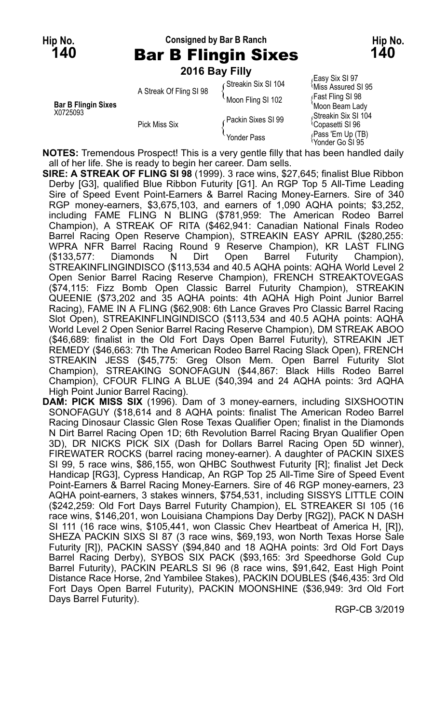#### **Hip No. Consigned by Bar B Ranch Hip No. 140** Bar B Flingin Sixes **140**

| .                               |                         | раг в гініўні білез |                                                     |
|---------------------------------|-------------------------|---------------------|-----------------------------------------------------|
|                                 | 2016 Bay Filly          |                     |                                                     |
|                                 | A Streak Of Fling SI 98 | Gtreakin Six SI 104 | Easy Six SI 97<br>Miss Assured SI 95                |
| Bar B Flingin Sixes<br>X0725093 |                         | Moon Fling SI 102   | ∫Fast Fling SI 98<br>Moon Beam Lady                 |
|                                 | <b>Pick Miss Six</b>    | ∠Packin Sixes SI 99 | Streakin Six SI 104<br><sup>t</sup> Copasetti SI 96 |
|                                 |                         | Yonder Pass         | (Pass 'Em Up (TB)<br>Yonder Go SI 95                |

**NOTES:** Tremendous Prospect! This is a very gentle filly that has been handled daily all of her life. She is ready to begin her career. Dam sells.

- **SIRE: A STREAK OF FLING SI 98** (1999). 3 race wins, \$27,645; finalist Blue Ribbon Derby [G3], qualified Blue Ribbon Futurity [G1]. An RGP Top 5 All-Time Leading Sire of Speed Event Point-Earners & Barrel Racing Money-Earners. Sire of 340 RGP money-earners, \$3,675,103, and earners of 1,090 AQHA points; \$3,252, including FAME FLING N BLING (\$781,959: The American Rodeo Barrel Champion), A STREAK OF RITA (\$462,941: Canadian National Finals Rodeo Barrel Racing Open Reserve Champion), STREAKIN EASY APRIL (\$280,255: WPRA NFR Barrel Racing Round 9 Reserve Champion), KR LAST FLING (\$133,577: Diamonds N Dirt Open Barrel Futurity Champion), STREAKINFLINGINDISCO (\$113,534 and 40.5 AQHA points: AQHA World Level 2 Open Senior Barrel Racing Reserve Champion), FRENCH STREAKTOVEGAS (\$74,115: Fizz Bomb Open Classic Barrel Futurity Champion), STREAKIN QUEENIE (\$73,202 and 35 AQHA points: 4th AQHA High Point Junior Barrel Racing), FAME IN A FLING (\$62,908: 6th Lance Graves Pro Classic Barrel Racing Slot Open), STREAKINFLINGINDISCO (\$113,534 and 40.5 AQHA points: AQHA World Level 2 Open Senior Barrel Racing Reserve Champion), DM STREAK ABOO (\$46,689: finalist in the Old Fort Days Open Barrel Futurity), STREAKIN JET REMEDY (\$46,663: 7th The American Rodeo Barrel Racing Slack Open), FRENCH STREAKIN JESS (\$45,775: Greg Olson Mem. Open Barrel Futurity Slot Champion), STREAKING SONOFAGUN (\$44,867: Black Hills Rodeo Barrel Champion), CFOUR FLING A BLUE (\$40,394 and 24 AQHA points: 3rd AQHA High Point Junior Barrel Racing).
- **DAM: PICK MISS SIX** (1996). Dam of 3 money-earners, including SIXSHOOTIN SONOFAGUY (\$18,614 and 8 AQHA points: finalist The American Rodeo Barrel Racing Dinosaur Classic Glen Rose Texas Qualifier Open; finalist in the Diamonds N Dirt Barrel Racing Open 1D; 6th Revolution Barrel Racing Bryan Qualifier Open 3D), DR NICKS PICK SIX (Dash for Dollars Barrel Racing Open 5D winner), FIREWATER ROCKS (barrel racing money-earner). A daughter of PACKIN SIXES SI 99, 5 race wins, \$86,155, won QHBC Southwest Futurity [R]; finalist Jet Deck Handicap [RG3], Cypress Handicap, An RGP Top 25 All-Time Sire of Speed Event Point-Earners & Barrel Racing Money-Earners. Sire of 46 RGP money-earners, 23 AQHA point-earners, 3 stakes winners, \$754,531, including SISSYS LITTLE COIN (\$242,259: Old Fort Days Barrel Futurity Champion), EL STREAKER SI 105 (16 race wins, \$146,201, won Louisiana Champions Day Derby [RG2]), PACK N DASH SI 111 (16 race wins, \$105,441, won Classic Chev Heartbeat of America H, [R]), SHEZA PACKIN SIXS SI 87 (3 race wins, \$69,193, won North Texas Horse Sale Futurity [R]), PACKIN SASSY (\$94,840 and 18 AQHA points: 3rd Old Fort Days Barrel Racing Derby), SYBOS SIX PACK (\$93,165: 3rd Speedhorse Gold Cup Barrel Futurity), PACKIN PEARLS SI 96 (8 race wins, \$91,642, East High Point Distance Race Horse, 2nd Yambilee Stakes), PACKIN DOUBLES (\$46,435: 3rd Old Fort Days Open Barrel Futurity), PACKIN MOONSHINE (\$36,949: 3rd Old Fort Days Barrel Futurity).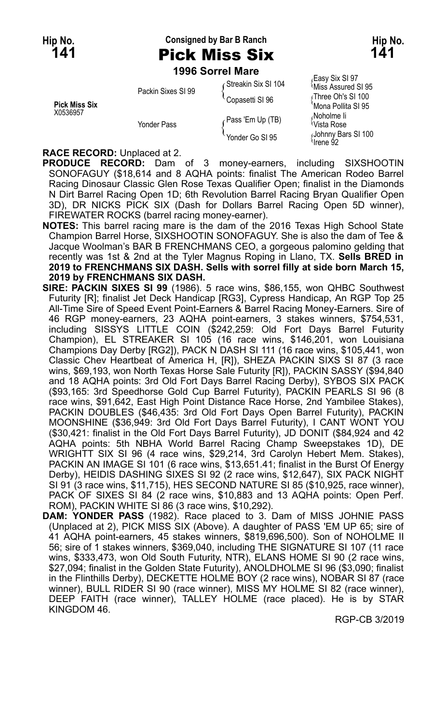**Hip No. Consigned by Bar B Ranch Hip No. 141** Pick Miss Six **141**

**1996 Sorrel Mare**

|                                  | Packin Sixes SI 99 | Streakin Six SI 104 | Easy Six SI 97،<br><sup>≀</sup> Miss Assured SI 95 |
|----------------------------------|--------------------|---------------------|----------------------------------------------------|
| <b>Pick Miss Six</b><br>X0536957 |                    | Copasetti SI 96     | Three Oh's SI 100<br>'Mona Pollita SI 95           |
|                                  | Yonder Pass        | Pass 'Em Up (TB)    | ،Noholme li<br><sup>≀</sup> Vista Rose             |
|                                  |                    | Yonder Go SI 95     | Johnny Bars SI 100<br>92 Arene                     |

#### **RACE RECORD:** Unplaced at 2.

**PRODUCE RECORD:** Dam of 3 money-earners, including SIXSHOOTIN SONOFAGUY (\$18,614 and 8 AQHA points: finalist The American Rodeo Barrel Racing Dinosaur Classic Glen Rose Texas Qualifier Open; finalist in the Diamonds N Dirt Barrel Racing Open 1D; 6th Revolution Barrel Racing Bryan Qualifier Open 3D), DR NICKS PICK SIX (Dash for Dollars Barrel Racing Open 5D winner), FIREWATER ROCKS (barrel racing money-earner).

- **NOTES:** This barrel racing mare is the dam of the 2016 Texas High School State Champion Barrel Horse, SIXSHOOTIN SONOFAGUY. She is also the dam of Tee & Jacque Woolman's BAR B FRENCHMANS CEO, a gorgeous palomino gelding that recently was 1st & 2nd at the Tyler Magnus Roping in Llano, TX. **Sells BRED in 2019 to FRENCHMANS SIX DASH. Sells with sorrel filly at side born March 15, 2019 by FRENCHMANS SIX DASH.**
- **SIRE: PACKIN SIXES SI 99** (1986). 5 race wins, \$86,155, won QHBC Southwest Futurity [R]; finalist Jet Deck Handicap [RG3], Cypress Handicap, An RGP Top 25 All-Time Sire of Speed Event Point-Earners & Barrel Racing Money-Earners. Sire of 46 RGP money-earners, 23 AQHA point-earners, 3 stakes winners, \$754,531, including SISSYS LITTLE COIN (\$242,259: Old Fort Days Barrel Futurity Champion), EL STREAKER SI 105 (16 race wins, \$146,201, won Louisiana Champions Day Derby [RG2]), PACK N DASH SI 111 (16 race wins, \$105,441, won Classic Chev Heartbeat of America H, [R]), SHEZA PACKIN SIXS SI 87 (3 race wins, \$69,193, won North Texas Horse Sale Futurity [R]), PACKIN SASSY (\$94,840 and 18 AQHA points: 3rd Old Fort Days Barrel Racing Derby), SYBOS SIX PACK (\$93,165: 3rd Speedhorse Gold Cup Barrel Futurity), PACKIN PEARLS SI 96 (8 race wins, \$91,642, East High Point Distance Race Horse, 2nd Yambilee Stakes), PACKIN DOUBLES (\$46,435: 3rd Old Fort Days Open Barrel Futurity), PACKIN MOONSHINE (\$36,949: 3rd Old Fort Days Barrel Futurity), I CANT WONT YOU (\$30,421: finalist in the Old Fort Days Barrel Futurity), JD DONIT (\$84,924 and 42 AQHA points: 5th NBHA World Barrel Racing Champ Sweepstakes 1D), DE WRIGHTT SIX SI 96 (4 race wins, \$29,214, 3rd Carolyn Hebert Mem. Stakes), PACKIN AN IMAGE SI 101 (6 race wins, \$13,651.41; finalist in the Burst Of Energy Derbv). HEIDIS DASHING SIXES SI 92 (2 race wins, \$12,647), SIX PACK NIGHT SI 91 (3 race wins, \$11,715), HES SECOND NATURE SI 85 (\$10,925, race winner), PACK OF SIXES SI 84 (2 race wins, \$10,883 and 13 AQHA points: Open Perf. ROM), PACKIN WHITE SI 86 (3 race wins, \$10,292).
- **DAM: YONDER PASS** (1982). Race placed to 3. Dam of MISS JOHNIE PASS (Unplaced at 2), PICK MISS SIX (Above). A daughter of PASS 'EM UP 65; sire of 41 AQHA point-earners, 45 stakes winners, \$819,696,500). Son of NOHOLME II 56; sire of 1 stakes winners, \$369,040, including THE SIGNATURE SI 107 (11 race wins, \$333,473, won Old South Futurity, NTR), ELANS HOME SI 90 (2 race wins, \$27,094; finalist in the Golden State Futurity), ANOLDHOLME SI 96 (\$3,090; finalist in the Flinthills Derby), DECKETTE HOLME BOY (2 race wins), NOBAR SI 87 (race winner), BULL RIDER SI 90 (race winner), MISS MY HOLME SI 82 (race winner), DEEP FAITH (race winner), TALLEY HOLME (race placed). He is by STAR KINGDOM 46.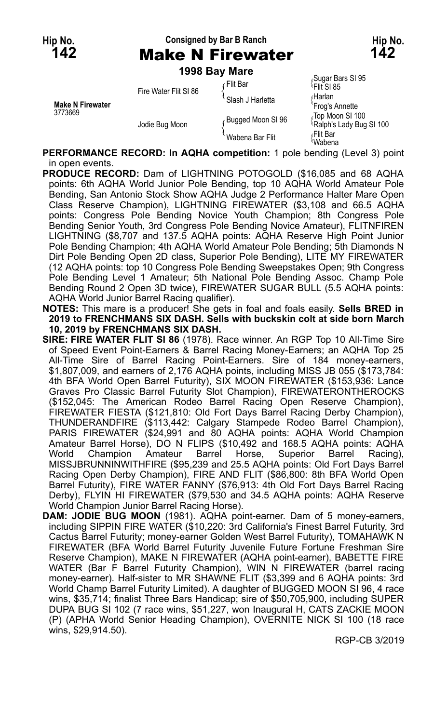## **Hip No. Consigned by Bar B Ranch Hip No. 142** Make N Firewater **142**

**1998 Bay Mare**

| <b>Make N Firewater</b><br>3773669 | Fire Water Flit SI 86 | ∠Flit Bar         | Sugar Bars SI 95<br><sup>l</sup> Flit SI 85 |
|------------------------------------|-----------------------|-------------------|---------------------------------------------|
|                                    |                       | Slash J Harletta  | ∩Harlan<br>'Frog's Annette                  |
|                                    | Jodie Bug Moon        | Bugged Moon SI 96 | Top Moon SI 100<br>Ralph's Lady Bug SI 100  |
|                                    |                       | Wabena Bar Flit   | ≀Flit Bar<br>Wabena                         |

**PERFORMANCE RECORD: In AQHA competition:** 1 pole bending (Level 3) point in open events.

- **PRODUCE RECORD:** Dam of LIGHTNING POTOGOLD (\$16,085 and 68 AQHA points: 6th AQHA World Junior Pole Bending, top 10 AQHA World Amateur Pole Bending, San Antonio Stock Show AQHA Judge 2 Performance Halter Mare Open Class Reserve Champion), LIGHTNING FIREWATER (\$3,108 and 66.5 AQHA points: Congress Pole Bending Novice Youth Champion; 8th Congress Pole Bending Senior Youth, 3rd Congress Pole Bending Novice Amateur), FLITNFIREN LIGHTNING (\$8,707 and 137.5 AQHA points: AQHA Reserve High Point Junior Pole Bending Champion; 4th AQHA World Amateur Pole Bending; 5th Diamonds N Dirt Pole Bending Open 2D class, Superior Pole Bending), LITE MY FIREWATER (12 AQHA points: top 10 Congress Pole Bending Sweepstakes Open; 9th Congress Pole Bending Level 1 Amateur; 5th National Pole Bending Assoc. Champ Pole Bending Round 2 Open 3D twice), FIREWATER SUGAR BULL (5.5 AQHA points: AQHA World Junior Barrel Racing qualifier).
- **NOTES:** This mare is a producer! She gets in foal and foals easily. **Sells BRED in 2019 to FRENCHMANS SIX DASH. Sells with buckskin colt at side born March 10, 2019 by FRENCHMANS SIX DASH.**
- **SIRE: FIRE WATER FLIT SI 86** (1978). Race winner. An RGP Top 10 All-Time Sire of Speed Event Point-Earners & Barrel Racing Money-Earners; an AQHA Top 25 All-Time Sire of Barrel Racing Point-Earners. Sire of 184 money-earners, \$1,807,009, and earners of 2,176 AQHA points, including MISS JB 055 (\$173,784: 4th BFA World Open Barrel Futurity), SIX MOON FIREWATER (\$153,936: Lance Graves Pro Classic Barrel Futurity Slot Champion), FIREWATERONTHEROCKS (\$152,045: The American Rodeo Barrel Racing Open Reserve Champion), FIREWATER FIESTA (\$121,810: Old Fort Days Barrel Racing Derby Champion), THUNDERANDFIRE (\$113,442: Calgary Stampede Rodeo Barrel Champion), PARIS FIREWATER (\$24,991 and 80 AQHA points: AQHA World Champion Amateur Barrel Horse), DO N FLIPS (\$10,492 and 168.5 AQHA points: AQHA World Champion Amateur Barrel Horse, Superior Barrel Racing), MISSJBRUNNINWITHFIRE (\$95,239 and 25.5 AQHA points: Old Fort Days Barrel Racing Open Derby Champion), FIRE AND FLIT (\$86,800: 8th BFA World Open Barrel Futurity), FIRE WATER FANNY (\$76,913: 4th Old Fort Days Barrel Racing Derby), FLYIN HI FIREWATER (\$79,530 and 34.5 AQHA points: AQHA Reserve World Champion Junior Barrel Racing Horse).
- **DAM: JODIE BUG MOON** (1981). AQHA point-earner. Dam of 5 money-earners, including SIPPIN FIRE WATER (\$10,220: 3rd California's Finest Barrel Futurity, 3rd Cactus Barrel Futurity; money-earner Golden West Barrel Futurity), TOMAHAWK N FIREWATER (BFA World Barrel Futurity Juvenile Future Fortune Freshman Sire Reserve Champion), MAKE N FIREWATER (AQHA point-earner), BABETTE FIRE WATER (Bar F Barrel Futurity Champion), WIN N FIREWATER (barrel racing money-earner). Half-sister to MR SHAWNE FLIT (\$3,399 and 6 AQHA points: 3rd World Champ Barrel Futurity Limited). A daughter of BUGGED MOON SI 96, 4 race wins, \$35,714; finalist Three Bars Handicap; sire of \$50,705,900, including SUPER DUPA BUG SI 102 (7 race wins, \$51,227, won Inaugural H, CATS ZACKIE MOON (P) (APHA World Senior Heading Champion), OVERNITE NICK SI 100 (18 race wins, \$29,914.50).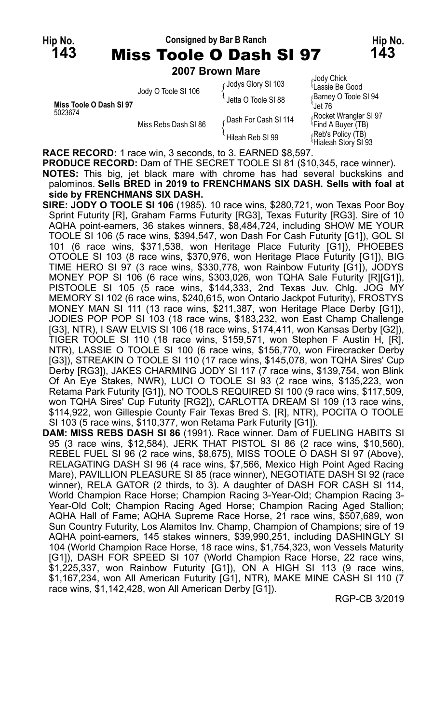#### **Hip No. Consigned by Bar B Ranch Hip No. 143** Miss Toole O Dash SI 97 **143**

**2007 Brown Mare**

| Miss Toole O Dash SI 97<br>5023674 | Jody O Toole SI 106  | Jodys Glory SI 103<br>Jetta O Toole SI 88 | Jody Chick<br>Lassie Be Good<br>Barney O Toole SI 94<br>Jet 76 |
|------------------------------------|----------------------|-------------------------------------------|----------------------------------------------------------------|
|                                    | Miss Rebs Dash SI 86 | Dash For Cash SI 114                      | Rocket Wrangler SI 97<br><sup>l</sup> Find A Buyer (TB)        |
|                                    |                      | Hileah Reb SI 99                          | (Reb's Policy (TB)<br>Hialeah Story SI 93                      |

**RACE RECORD:** 1 race win, 3 seconds, to 3. EARNED \$8,597.

**PRODUCE RECORD:** Dam of THE SECRET TOOLE SI 81 (\$10,345, race winner). **NOTES:** This big, jet black mare with chrome has had several buckskins and palominos. **Sells BRED in 2019 to FRENCHMANS SIX DASH. Sells with foal at side by FRENCHMANS SIX DASH.**

- **SIRE: JODY O TOOLE SI 106** (1985). 10 race wins, \$280,721, won Texas Poor Boy Sprint Futurity [R], Graham Farms Futurity [RG3], Texas Futurity [RG3]. Sire of 10 AQHA point-earners, 36 stakes winners, \$8,484,724, including SHOW ME YOUR TOOLE SI 106 (5 race wins, \$394,547, won Dash For Cash Futurity [G1]), GOL SI 101 (6 race wins, \$371,538, won Heritage Place Futurity [G1]), PHOEBES OTOOLE SI 103 (8 race wins, \$370,976, won Heritage Place Futurity [G1]), BIG TIME HERO SI 97 (3 race wins, \$330,778, won Rainbow Futurity [G1]), JODYS MONEY POP SI 106 (6 race wins, \$303,026, won TQHA Sale Futurity [R][G1]), PISTOOLE SI 105 (5 race wins, \$144,333, 2nd Texas Juv. Chlg. JOG MY MEMORY SI 102 (6 race wins, \$240,615, won Ontario Jackpot Futurity), FROSTYS MONEY MAN SI 111 (13 race wins, \$211,387, won Heritage Place Derby [G1]), JODIES POP POP SI 103 (18 race wins, \$183,232, won East Champ Challenge [G3], NTR), I SAW ELVIS SI 106 (18 race wins, \$174,411, won Kansas Derby [G2]), TIGER TOOLE SI 110 (18 race wins, \$159,571, won Stephen F Austin H, [R], NTR), LASSIE O TOOLE SI 100 (6 race wins, \$156,770, won Firecracker Derby [G3]), STREAKIN O TOOLE SI 110 (17 race wins, \$145,078, won TQHA Sires' Cup Derby [RG3]), JAKES CHARMING JODY SI 117 (7 race wins, \$139,754, won Blink Of An Eye Stakes, NWR), LUCI O TOOLE SI 93 (2 race wins, \$135,223, won Retama Park Futurity [G1]), NO TOOLS REQUIRED SI 100 (9 race wins, \$117,509, won TQHA Sires' Cup Futurity [RG2]), CARLOTTA DREAM SI 109 (13 race wins, \$114,922, won Gillespie County Fair Texas Bred S. [R], NTR), POCITA O TOOLE SI 103 (5 race wins, \$110,377, won Retama Park Futurity [G1]).
- **DAM: MISS REBS DASH SI 86** (1991). Race winner. Dam of FUELING HABITS SI 95 (3 race wins, \$12,584), JERK THAT PISTOL SI 86 (2 race wins, \$10,560), REBEL FUEL SI 96 (2 race wins, \$8,675), MISS TOOLE O DASH SI 97 (Above), RELAGATING DASH SI 96 (4 race wins, \$7,566, Mexico High Point Aged Racing Mare), PAVILLION PLEASURE SI 85 (race winner), NEGOTIATE DASH SI 92 (race winner), RELA GATOR (2 thirds, to 3). A daughter of DASH FOR CASH SI 114, World Champion Race Horse; Champion Racing 3-Year-Old; Champion Racing 3- Year-Old Colt; Champion Racing Aged Horse; Champion Racing Aged Stallion; AQHA Hall of Fame; AQHA Supreme Race Horse, 21 race wins, \$507,689, won Sun Country Futurity, Los Alamitos Inv. Champ, Champion of Champions; sire of 19 AQHA point-earners, 145 stakes winners, \$39,990,251, including DASHINGLY SI 104 (World Champion Race Horse, 18 race wins, \$1,754,323, won Vessels Maturity [G1]), DASH FOR SPEED SI 107 (World Champion Race Horse, 22 race wins, \$1,225,337, won Rainbow Futurity [G1]), ON A HIGH SI 113 (9 race wins, \$1,167,234, won All American Futurity [G1], NTR), MAKE MINE CASH SI 110 (7 race wins, \$1,142,428, won All American Derby [G1]).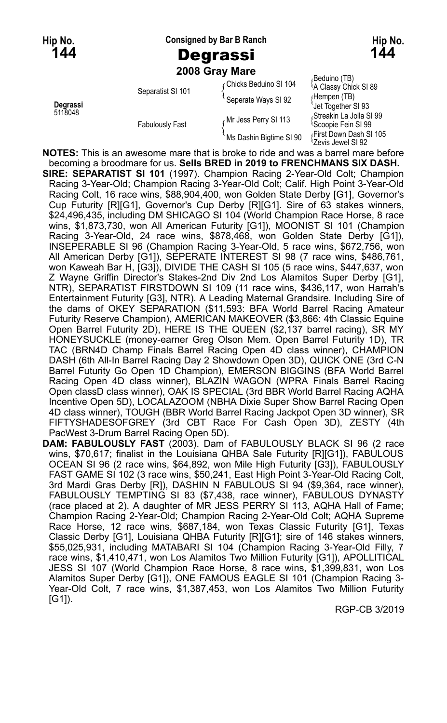**Hip No. Consigned by Bar B Ranch Hip No.**

**2008 Gray Mare**

|                     | <b>LUUU GIAY IVIAI <del>C</del></b> |                         |                                                            |
|---------------------|-------------------------------------|-------------------------|------------------------------------------------------------|
| Degrassi<br>5118048 | Separatist SI 101                   | Chicks Beduino SI 104   | (Beduino (TB)،<br><sup>1</sup> A Classy Chick SI 89        |
|                     |                                     | Seperate Ways SI 92     | (Hempen (TB)<br>Jet Together SI 93                         |
|                     | <b>Fabulously Fast</b>              | Mr Jess Perry SI 113 م  | Streakin La Jolla SI 99<br><sup>1</sup> Scoopie Fein SI 99 |
|                     |                                     | Ms Dashin Bigtime SI 90 | First Down Dash SI 105<br>'Zevis Jewel SI 92               |

**NOTES:** This is an awesome mare that is broke to ride and was a barrel mare before becoming a broodmare for us. **Sells BRED in 2019 to FRENCHMANS SIX DASH.**

- **SIRE: SEPARATIST SI 101** (1997). Champion Racing 2-Year-Old Colt; Champion Racing 3-Year-Old; Champion Racing 3-Year-Old Colt; Calif. High Point 3-Year-Old Racing Colt, 16 race wins, \$88,904,400, won Golden State Derby [G1], Governor's Cup Futurity [R][G1], Governor's Cup Derby [R][G1]. Sire of 63 stakes winners, \$24,496,435, including DM SHICAGO SI 104 (World Champion Race Horse, 8 race wins, \$1,873,730, won All American Futurity [G1]), MOONIST SI 101 (Champion Racing 3-Year-Old, 24 race wins, \$878,468, won Golden State Derby [G1]), INSEPERABLE SI 96 (Champion Racing 3-Year-Old, 5 race wins, \$672,756, won All American Derby [G1]), SEPERATE INTEREST SI 98 (7 race wins, \$486,761, won Kaweah Bar H, [G3]), DIVIDE THE CASH SI 105 (5 race wins, \$447,637, won Z Wayne Griffin Director's Stakes-2nd Div 2nd Los Alamitos Super Derby [G1], NTR), SEPARATIST FIRSTDOWN SI 109 (11 race wins, \$436,117, won Harrah's Entertainment Futurity [G3], NTR). A Leading Maternal Grandsire. Including Sire of the dams of OKEY SEPARATION (\$11,593: BFA World Barrel Racing Amateur Futurity Reserve Champion), AMERICAN MAKEOVER (\$3,866: 4th Classic Equine Open Barrel Futurity 2D), HERE IS THE QUEEN (\$2,137 barrel racing), SR MY HONEYSUCKLE (money-earner Greg Olson Mem. Open Barrel Futurity 1D), TR TAC (BRN4D Champ Finals Barrel Racing Open 4D class winner), CHAMPION DASH (6th All-In Barrel Racing Day 2 Showdown Open 3D), QUICK ONE (3rd C-N Barrel Futurity Go Open 1D Champion), EMERSON BIGGINS (BFA World Barrel Racing Open 4D class winner), BLAZIN WAGON (WPRA Finals Barrel Racing Open classD class winner), OAK IS SPECIAL (3rd BBR World Barrel Racing AQHA Incentive Open 5D), LOCALAZOOM (NBHA Dixie Super Show Barrel Racing Open 4D class winner), TOUGH (BBR World Barrel Racing Jackpot Open 3D winner), SR FIFTYSHADESOFGREY (3rd CBT Race For Cash Open 3D), ZESTY (4th PacWest 3-Drum Barrel Racing Open 5D).
- **DAM: FABULOUSLY FAST** (2003). Dam of FABULOUSLY BLACK SI 96 (2 race wins, \$70,617; finalist in the Louisiana QHBA Sale Futurity [R][G1]), FABULOUS OCEAN SI 96 (2 race wins, \$64,892, won Mile High Futurity [G3]), FABULOUSLY FAST GAME SI 102 (3 race wins, \$50,241, East High Point 3-Year-Old Racing Colt, 3rd Mardi Gras Derby [R]), DASHIN N FABULOUS SI 94 (\$9,364, race winner), FABULOUSLY TEMPTING SI 83 (\$7,438, race winner), FABULOUS DYNASTY (race placed at 2). A daughter of MR JESS PERRY SI 113, AQHA Hall of Fame; Champion Racing 2-Year-Old; Champion Racing 2-Year-Old Colt; AQHA Supreme Race Horse, 12 race wins, \$687,184, won Texas Classic Futurity [G1], Texas Classic Derby [G1], Louisiana QHBA Futurity [R][G1]; sire of 146 stakes winners, \$55,025,931, including MATABARI SI 104 (Champion Racing 3-Year-Old Filly, 7 race wins, \$1,410,471, won Los Alamitos Two Million Futurity [G1]), APOLLITICAL JESS SI 107 (World Champion Race Horse, 8 race wins, \$1,399,831, won Los Alamitos Super Derby [G1]), ONE FAMOUS EAGLE SI 101 (Champion Racing 3- Year-Old Colt, 7 race wins, \$1,387,453, won Los Alamitos Two Million Futurity  $[G1]$ ).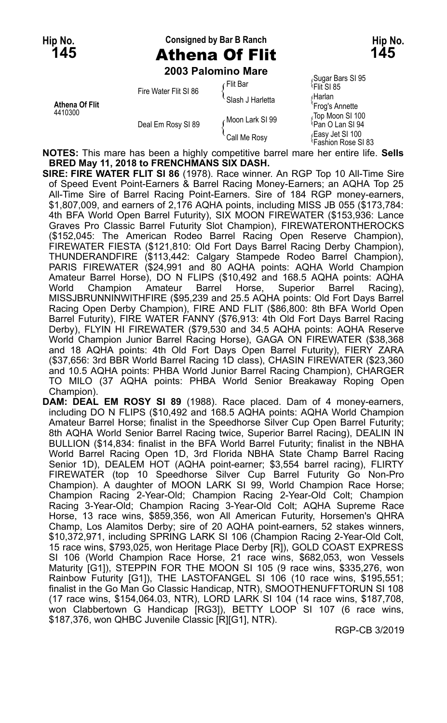## **Hip No. Consigned by Bar B Ranch Hip No. 145** Athena Of Flit **145**

**2003 Palomino Mare**

| Athena Of Flit<br>4410300 | Fire Water Flit SI 86 | ∈Flit Bar        | Sugar Bars SI 95<br><sup>l</sup> Flit SI 85 |
|---------------------------|-----------------------|------------------|---------------------------------------------|
|                           |                       | Slash J Harletta | ∩Harlan<br>'Frog's Annette                  |
|                           | Deal Em Rosy SI 89    | Moon Lark SI 99  | Top Moon SI 100<br>Pan O Lan SI 94          |
|                           |                       | `Call Me Rosv    | Easy Jet SI 100<br>Fashion Rose SI 83       |

**NOTES:** This mare has been a highly competitive barrel mare her entire life. **Sells BRED May 11, 2018 to FRENCHMANS SIX DASH.**

**SIRE: FIRE WATER FLIT SI 86** (1978). Race winner. An RGP Top 10 All-Time Sire of Speed Event Point-Earners & Barrel Racing Money-Earners; an AQHA Top 25 All-Time Sire of Barrel Racing Point-Earners. Sire of 184 RGP money-earners, \$1,807,009, and earners of 2,176 AQHA points, including MISS JB 055 (\$173,784: 4th BFA World Open Barrel Futurity), SIX MOON FIREWATER (\$153,936: Lance Graves Pro Classic Barrel Futurity Slot Champion), FIREWATERONTHEROCKS (\$152,045: The American Rodeo Barrel Racing Open Reserve Champion), FIREWATER FIESTA (\$121,810: Old Fort Days Barrel Racing Derby Champion), THUNDERANDFIRE (\$113,442: Calgary Stampede Rodeo Barrel Champion), PARIS FIREWATER (\$24,991 and 80 AQHA points: AQHA World Champion Amateur Barrel Horse), DO N FLIPS (\$10,492 and 168.5 AQHA points: AQHA World Champion Amateur Barrel Horse, Superior Barrel Racing), MISSJBRUNNINWITHFIRE (\$95,239 and 25.5 AQHA points: Old Fort Days Barrel Racing Open Derby Champion), FIRE AND FLIT (\$86,800: 8th BFA World Open Barrel Futurity), FIRE WATER FANNY (\$76,913: 4th Old Fort Days Barrel Racing Derby), FLYIN HI FIREWATER (\$79,530 and 34.5 AQHA points: AQHA Reserve World Champion Junior Barrel Racing Horse), GAGA ON FIREWATER (\$38,368 and 18 AQHA points: 4th Old Fort Days Open Barrel Futurity), FIERY ZARA (\$37,656: 3rd BBR World Barrel Racing 1D class), CHASIN FIREWATER (\$23,360 and 10.5 AQHA points: PHBA World Junior Barrel Racing Champion), CHARGER TO MILO (37 AQHA points: PHBA World Senior Breakaway Roping Open Champion).

**DAM: DEAL EM ROSY SI 89** (1988). Race placed. Dam of 4 money-earners, including DO N FLIPS (\$10,492 and 168.5 AQHA points: AQHA World Champion Amateur Barrel Horse; finalist in the Speedhorse Silver Cup Open Barrel Futurity; 8th AQHA World Senior Barrel Racing twice, Superior Barrel Racing), DEALIN IN BULLION (\$14,834: finalist in the BFA World Barrel Futurity; finalist in the NBHA World Barrel Racing Open 1D, 3rd Florida NBHA State Champ Barrel Racing Senior 1D), DEALEM HOT (AQHA point-earner; \$3,554 barrel racing), FLIRTY FIREWATER (top 10 Speedhorse Silver Cup Barrel Futurity Go Non-Pro Champion). A daughter of MOON LARK SI 99, World Champion Race Horse; Champion Racing 2-Year-Old; Champion Racing 2-Year-Old Colt; Champion Racing 3-Year-Old; Champion Racing 3-Year-Old Colt; AQHA Supreme Race Horse, 13 race wins, \$859,356, won All American Futurity, Horsemen's QHRA Champ, Los Alamitos Derby; sire of 20 AQHA point-earners, 52 stakes winners, \$10,372,971, including SPRING LARK SI 106 (Champion Racing 2-Year-Old Colt, 15 race wins, \$793,025, won Heritage Place Derby [R]), GOLD COAST EXPRESS SI 106 (World Champion Race Horse, 21 race wins, \$682,053, won Vessels Maturity [G1]), STEPPIN FOR THE MOON SI 105 (9 race wins, \$335,276, won Rainbow Futurity [G1]), THE LASTOFANGEL SI 106 (10 race wins, \$195,551; finalist in the Go Man Go Classic Handicap, NTR), SMOOTHENUFFTORUN SI 108 (17 race wins, \$154,064.03, NTR), LORD LARK SI 104 (14 race wins, \$187,708, won Clabbertown G Handicap [RG3]), BETTY LOOP SI 107 (6 race wins, \$187,376, won QHBC Juvenile Classic [R][G1], NTR).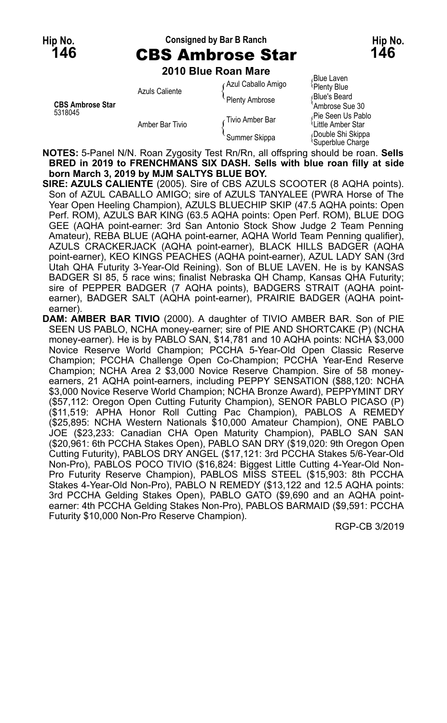#### **Hip No. Consigned by Bar B Ranch Hip No.**

# **146** CBS Ambrose Star **146**

**2010 Blue Roan Mare**

| <b>CBS Ambrose Star</b><br>5318045 | Azuls Caliente  | <b>Azul Caballo Amigo</b> | <b>Blue Laven</b><br>Plenty Blue                   |
|------------------------------------|-----------------|---------------------------|----------------------------------------------------|
|                                    |                 | Plenty Ambrose            | Blue's Beard<br>Ambrose Sue 30                     |
|                                    | Amber Bar Tivio | Tivio Amber Bar           | Pie Seen Us Pablo<br>Little Amber Star             |
|                                    |                 | Summer Skippa             | Double Shi Skippa<br><sup>{</sup> Superblue Charge |

**NOTES:** 5-Panel N/N. Roan Zygosity Test Rn/Rn, all offspring should be roan. **Sells BRED in 2019 to FRENCHMANS SIX DASH. Sells with blue roan filly at side born March 3, 2019 by MJM SALTYS BLUE BOY.**

- **SIRE: AZULS CALIENTE** (2005). Sire of CBS AZULS SCOOTER (8 AQHA points). Son of AZUL CABALLO AMIGO; sire of AZULS TANYALEE (PWRA Horse of The Year Open Heeling Champion), AZULS BLUECHIP SKIP (47.5 AQHA points: Open Perf. ROM), AZULS BAR KING (63.5 AQHA points: Open Perf. ROM), BLUE DOG GEE (AQHA point-earner: 3rd San Antonio Stock Show Judge 2 Team Penning Amateur), REBA BLUE (AQHA point-earner, AQHA World Team Penning qualifier), AZULS CRACKERJACK (AQHA point-earner), BLACK HILLS BADGER (AQHA point-earner), KEO KINGS PEACHES (AQHA point-earner), AZUL LADY SAN (3rd Utah QHA Futurity 3-Year-Old Reining). Son of BLUE LAVEN. He is by KANSAS BADGER SI 85, 5 race wins; finalist Nebraska QH Champ, Kansas QHA Futurity; sire of PEPPER BADGER (7 AQHA points), BADGERS STRAIT (AQHA pointearner), BADGER SALT (AQHA point-earner), PRAIRIE BADGER (AQHA pointearner).
- **DAM: AMBER BAR TIVIO** (2000). A daughter of TIVIO AMBER BAR. Son of PIE SEEN US PABLO, NCHA money-earner; sire of PIE AND SHORTCAKE (P) (NCHA money-earner). He is by PABLO SAN, \$14,781 and 10 AQHA points: NCHA \$3,000 Novice Reserve World Champion; PCCHA 5-Year-Old Open Classic Reserve Champion; PCCHA Challenge Open Co-Champion; PCCHA Year-End Reserve Champion; NCHA Area 2 \$3,000 Novice Reserve Champion. Sire of 58 moneyearners, 21 AQHA point-earners, including PEPPY SENSATION (\$88,120: NCHA \$3,000 Novice Reserve World Champion; NCHA Bronze Award), PEPPYMINT DRY (\$57,112: Oregon Open Cutting Futurity Champion), SENOR PABLO PICASO (P) (\$11,519: APHA Honor Roll Cutting Pac Champion), PABLOS A REMEDY (\$25,895: NCHA Western Nationals \$10,000 Amateur Champion), ONE PABLO JOE (\$23,233: Canadian CHA Open Maturity Champion), PABLO SAN SAN (\$20,961: 6th PCCHA Stakes Open), PABLO SAN DRY (\$19,020: 9th Oregon Open Cutting Futurity), PABLOS DRY ANGEL (\$17,121: 3rd PCCHA Stakes 5/6-Year-Old Non-Pro), PABLOS POCO TIVIO (\$16,824: Biggest Little Cutting 4-Year-Old Non-Pro Futurity Reserve Champion), PABLOS MISS STEEL (\$15,903: 8th PCCHA Stakes 4-Year-Old Non-Pro), PABLO N REMEDY (\$13,122 and 12.5 AQHA points: 3rd PCCHA Gelding Stakes Open), PABLO GATO (\$9,690 and an AQHA pointearner: 4th PCCHA Gelding Stakes Non-Pro), PABLOS BARMAID (\$9,591: PCCHA Futurity \$10,000 Non-Pro Reserve Champion).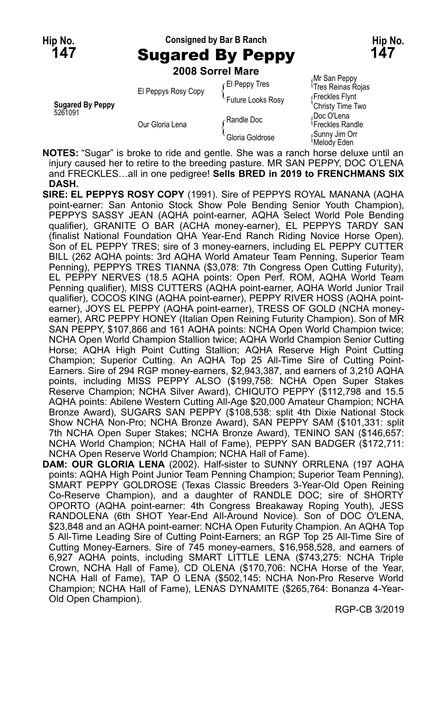# **Hip No. Consigned by Bar B Ranch Hip No. 147** Sugared By Peppy **147**

**2008 Sorrel Mare**

| <b>Sugared By Peppy</b><br>5261091 | El Peppys Rosy Copy | El Peppy Tres<br>Future Looks Rosy | im van sppj<br><sup>1</sup> Tres Reinas Roja<br>Freckles Flynt<br>'Christy Time Two |
|------------------------------------|---------------------|------------------------------------|-------------------------------------------------------------------------------------|
|                                    | Our Gloria Lena     | ∠Randle Doc                        | Doc O'Lena،<br><sup>1</sup> Freckles Randle                                         |
|                                    |                     | Gloria Goldrose                    | Sunny Jim Orr<br>Melody Eden                                                        |

Mr San Peppy <sup>{</sup>Tres Reinas Rojas<br><sub>!</sub> Freckles Flynt

**NOTES:** "Sugar" is broke to ride and gentle. She was a ranch horse deluxe until an injury caused her to retire to the breeding pasture. MR SAN PEPPY, DOC O'LENA and FRECKLES…all in one pedigree! **Sells BRED in 2019 to FRENCHMANS SIX DASH.**

- **SIRE: EL PEPPYS ROSY COPY** (1991). Sire of PEPPYS ROYAL MANANA (AQHA point-earner: San Antonio Stock Show Pole Bending Senior Youth Champion), PEPPYS SASSY JEAN (AQHA point-earner, AQHA Select World Pole Bending qualifier), GRANITE O BAR (ACHA money-earner), EL PEPPYS TARDY SAN (finalist National Foundation QHA Year-End Ranch Riding Novice Horse Open). Son of EL PEPPY TRES; sire of 3 money-earners, including EL PEPPY CUTTER BILL (262 AQHA points: 3rd AQHA World Amateur Team Penning, Superior Team Penning), PEPPYS TRES TIANNA (\$3,078: 7th Congress Open Cutting Futurity), EL PEPPY NERVES (18.5 AQHA points: Open Perf. ROM, AQHA World Team Penning qualifier), MISS CUTTERS (AQHA point-earner, AQHA World Junior Trail qualifier), COCOS KING (AQHA point-earner), PEPPY RIVER HOSS (AQHA pointearner), JOYS EL PEPPY (AQHA point-earner), TRESS OF GOLD (NCHA moneyearner), ARC PEPPY HONEY (Italian Open Reining Futurity Champion). Son of MR SAN PEPPY, \$107,866 and 161 AQHA points: NCHA Open World Champion twice; NCHA Open World Champion Stallion twice; AQHA World Champion Senior Cutting Horse; AQHA High Point Cutting Stallion; AQHA Reserve High Point Cutting Champion; Superior Cutting. An AQHA Top 25 All-Time Sire of Cutting Point-Earners. Sire of 294 RGP money-earners, \$2,943,387, and earners of 3,210 AQHA points, including MISS PEPPY ALSO (\$199,758: NCHA Open Super Stakes Reserve Champion; NCHA Silver Award), CHIQUTO PEPPY (\$112,798 and 15.5 AQHA points: Abilene Western Cutting All-Age \$20,000 Amateur Champion; NCHA Bronze Award), SUGARS SAN PEPPY (\$108,538: split 4th Dixie National Stock Show NCHA Non-Pro; NCHA Bronze Award), SAN PEPPY SAM (\$101,331: split 7th NCHA Open Super Stakes; NCHA Bronze Award), TENINO SAN (\$146,657: NCHA World Champion; NCHA Hall of Fame), PEPPY SAN BADGER (\$172,711: NCHA Open Reserve World Champion; NCHA Hall of Fame).
- **DAM: OUR GLORIA LENA** (2002). Half-sister to SUNNY ORRLENA (197 AQHA points: AQHA High Point Junior Team Penning Champion; Superior Team Penning), SMART PEPPY GOLDROSE (Texas Classic Breeders 3-Year-Old Open Reining Co-Reserve Champion), and a daughter of RANDLE DOC; sire of SHORTY OPORTO (AQHA point-earner: 4th Congress Breakaway Roping Youth), JESS RANDOLENA (6th SHOT Year-End All-Around Novice). Son of DOC O'LENA, \$23,848 and an AQHA point-earner: NCHA Open Futurity Champion. An AQHA Top 5 All-Time Leading Sire of Cutting Point-Earners; an RGP Top 25 All-Time Sire of Cutting Money-Earners. Sire of 745 money-earners, \$16,958,528, and earners of 6,927 AQHA points, including SMART LITTLE LENA (\$743,275: NCHA Triple Crown, NCHA Hall of Fame), CD OLENA (\$170,706: NCHA Horse of the Year, NCHA Hall of Fame), TAP O LENA (\$502,145: NCHA Non-Pro Reserve World Champion; NCHA Hall of Fame), LENAS DYNAMITE (\$265,764: Bonanza 4-Year-Old Open Champion).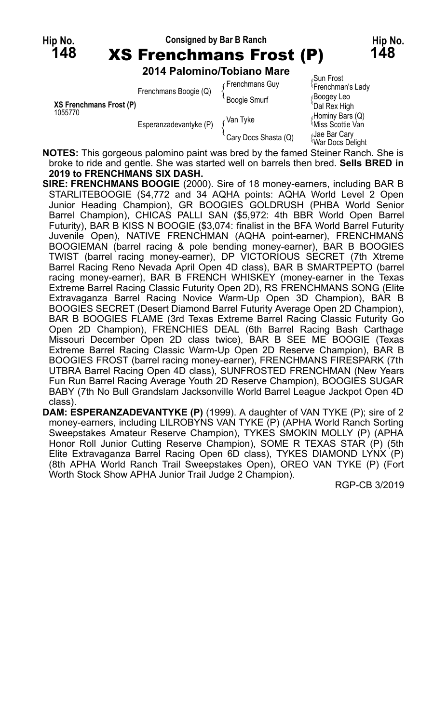

|                         | Frenchmans Boogie (Q)<br>Esperanzadevantyke (P) | Frenchmans Guy       | Sun Frost<br><sup>l</sup> Frenchman's Lady |
|-------------------------|-------------------------------------------------|----------------------|--------------------------------------------|
| XS Frenchmans Frost (P) |                                                 | <b>Boogie Smurf</b>  | ∫Booqey Leo<br>'Dal Rex High               |
| 1055770                 |                                                 | Van Tyke             | Hominy Bars (Q)<br>Miss Scottie Van        |
|                         |                                                 | Cary Docs Shasta (Q) | Jae Bar Cary<br>War Docs Delight           |

**NOTES:** This gorgeous palomino paint was bred by the famed Steiner Ranch. She is broke to ride and gentle. She was started well on barrels then bred. **Sells BRED in 2019 to FRENCHMANS SIX DASH.**

- **SIRE: FRENCHMANS BOOGIE** (2000). Sire of 18 money-earners, including BAR B STARLITEBOOGIE (\$4,772 and 34 AQHA points: AQHA World Level 2 Open Junior Heading Champion), GR BOOGIES GOLDRUSH (PHBA World Senior Barrel Champion), CHICAS PALLI SAN (\$5,972: 4th BBR World Open Barrel Futurity), BAR B KISS N BOOGIE (\$3,074: finalist in the BFA World Barrel Futurity Juvenile Open), NATIVE FRENCHMAN (AQHA point-earner), FRENCHMANS BOOGIEMAN (barrel racing & pole bending money-earner), BAR B BOOGIES TWIST (barrel racing money-earner), DP VICTORIOUS SECRET (7th Xtreme Barrel Racing Reno Nevada April Open 4D class), BAR B SMARTPEPTO (barrel racing money-earner), BAR B FRENCH WHISKEY (money-earner in the Texas Extreme Barrel Racing Classic Futurity Open 2D), RS FRENCHMANS SONG (Elite Extravaganza Barrel Racing Novice Warm-Up Open 3D Champion), BAR B BOOGIES SECRET (Desert Diamond Barrel Futurity Average Open 2D Champion), BAR B BOOGIES FLAME (3rd Texas Extreme Barrel Racing Classic Futurity Go Open 2D Champion), FRENCHIES DEAL (6th Barrel Racing Bash Carthage Missouri December Open 2D class twice), BAR B SEE ME BOOGIE (Texas Extreme Barrel Racing Classic Warm-Up Open 2D Reserve Champion), BAR B BOOGIES FROST (barrel racing money-earner), FRENCHMANS FIRESPARK (7th UTBRA Barrel Racing Open 4D class), SUNFROSTED FRENCHMAN (New Years Fun Run Barrel Racing Average Youth 2D Reserve Champion), BOOGIES SUGAR BABY (7th No Bull Grandslam Jacksonville World Barrel League Jackpot Open 4D class).
- **DAM: ESPERANZADEVANTYKE (P)** (1999). A daughter of VAN TYKE (P); sire of 2 money-earners, including LILROBYNS VAN TYKE (P) (APHA World Ranch Sorting Sweepstakes Amateur Reserve Champion), TYKES SMOKIN MOLLY (P) (APHA Honor Roll Junior Cutting Reserve Champion), SOME R TEXAS STAR (P) (5th Elite Extravaganza Barrel Racing Open 6D class), TYKES DIAMOND LYNX (P) (8th APHA World Ranch Trail Sweepstakes Open), OREO VAN TYKE (P) (Fort Worth Stock Show APHA Junior Trail Judge 2 Champion).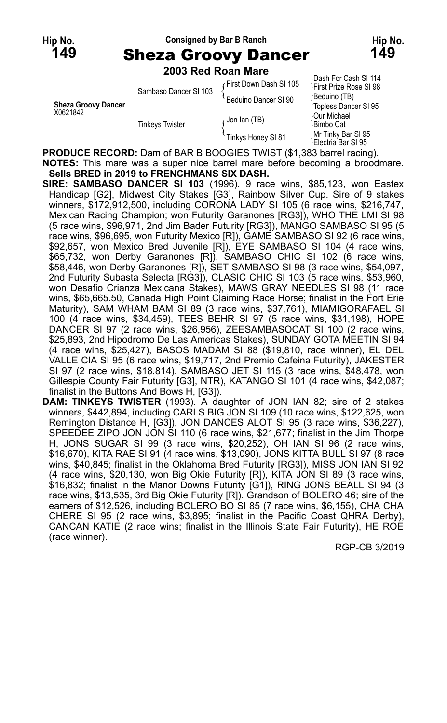#### **Hip No. Consigned by Bar B Ranch Hip No. 149** Sheza Groovy Dancer **149**

# **2003 Red Roan Mare**

| <b>Sheza Groovy Dancer</b><br>X0621842 | Sambaso Dancer SI 103  | First Down Dash SI 105<br>Beduino Dancer SI 90 | Dash For Cash SI 114<br><sup>1</sup> First Prize Rose SI 98<br>(Beduino (TB)<br>'Topless Dancer SI 95 |
|----------------------------------------|------------------------|------------------------------------------------|-------------------------------------------------------------------------------------------------------|
|                                        | <b>Tinkeys Twister</b> | Jon lan (TB)                                   | Our Michael<br><sup>≀</sup> Bimbo Cat                                                                 |
|                                        |                        | Tinkys Honey SI 81                             | Mr Tinky Bar SI 95<br><sup>1</sup> Electria Bar SI 95                                                 |
| 00001105 050000.0 (DAD                 |                        |                                                | $200 \times 100$                                                                                      |

**PRODUCE RECORD:** Dam of BAR B BOOGIES TWIST (\$1,383 barrel racing). **NOTES:** This mare was a super nice barrel mare before becoming a broodmare. **Sells BRED in 2019 to FRENCHMANS SIX DASH.**

- **SIRE: SAMBASO DANCER SI 103** (1996). 9 race wins, \$85,123, won Eastex Handicap [G2], Midwest City Stakes [G3], Rainbow Silver Cup. Sire of 9 stakes winners, \$172,912,500, including CORONA LADY SI 105 (6 race wins, \$216,747, Mexican Racing Champion; won Futurity Garanones [RG3]), WHO THE LMI SI 98 (5 race wins, \$96,971, 2nd Jim Bader Futurity [RG3]), MANGO SAMBASO SI 95 (5 race wins, \$96,695, won Futurity Mexico [R]), GAME SAMBASO SI 92 (6 race wins, \$92,657, won Mexico Bred Juvenile [R]), EYE SAMBASO SI 104 (4 race wins, \$65,732, won Derby Garanones [R]), SAMBASO CHIC SI 102 (6 race wins, \$58,446, won Derby Garanones [R]), SET SAMBASO SI 98 (3 race wins, \$54,097, 2nd Futurity Subasta Selecta [RG3]), CLASIC CHIC SI 103 (5 race wins, \$53,960, won Desafio Crianza Mexicana Stakes), MAWS GRAY NEEDLES SI 98 (11 race wins, \$65,665.50, Canada High Point Claiming Race Horse; finalist in the Fort Erie Maturity), SAM WHAM BAM SI 89 (3 race wins, \$37,761), MIAMIGORAFAEL SI 100 (4 race wins, \$34,459), TEES BEHR SI 97 (5 race wins, \$31,198), HOPE DANCER SI 97 (2 race wins, \$26,956), ZEESAMBASOCAT SI 100 (2 race wins, \$25,893, 2nd Hipodromo De Las Americas Stakes), SUNDAY GOTA MEETIN SI 94 (4 race wins, \$25,427), BASOS MADAM SI 88 (\$19,810, race winner), EL DEL VALLE CIA SI 95 (6 race wins, \$19,717, 2nd Premio Cafeina Futurity), JAKESTER SI 97 (2 race wins, \$18,814), SAMBASO JET SI 115 (3 race wins, \$48,478, won Gillespie County Fair Futurity [G3], NTR), KATANGO SI 101 (4 race wins, \$42,087; finalist in the Buttons And Bows H, [G3]).
- **DAM: TINKEYS TWISTER** (1993). A daughter of JON IAN 82; sire of 2 stakes winners, \$442,894, including CARLS BIG JON SI 109 (10 race wins, \$122,625, won Remington Distance H, [G3]), JON DANCES ALOT SI 95 (3 race wins, \$36,227), SPEEDEE ZIPO JON JON SI 110 (6 race wins, \$21,677; finalist in the Jim Thorpe H, JONS SUGAR SI 99 (3 race wins, \$20,252), OH IAN SI 96 (2 race wins, \$16,670), KITA RAE SI 91 (4 race wins, \$13,090), JONS KITTA BULL SI 97 (8 race wins, \$40,845; finalist in the Oklahoma Bred Futurity [RG3]), MISS JON IAN SI 92 (4 race wins, \$20,130, won Big Okie Futurity [R]), KITA JON SI 89 (3 race wins, \$16,832; finalist in the Manor Downs Futurity [G1]), RING JONS BEALL SI 94 (3) race wins, \$13,535, 3rd Big Okie Futurity [R]). Grandson of BOLERO 46; sire of the earners of \$12,526, including BOLERO BO SI 85 (7 race wins, \$6,155), CHA CHA CHERE SI 95 (2 race wins, \$3,895; finalist in the Pacific Coast QHRA Derby), CANCAN KATIE (2 race wins; finalist in the Illinois State Fair Futurity), HE ROE (race winner).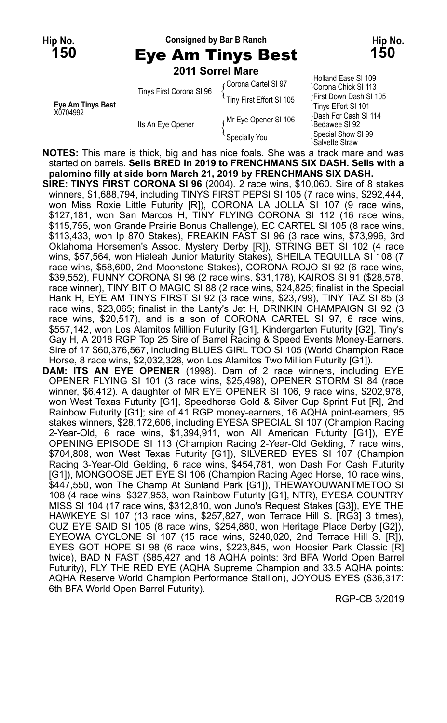# **Hip No. Consigned by Bar B Ranch Hip No. 150** Eye Am Tinys Best **150**

**2011 Sorrel Mare**

|                                      | Tinys First Corona SI 96 | Corona Cartel SI 97      | <sup>1</sup> Corona Chick SI 1                 |
|--------------------------------------|--------------------------|--------------------------|------------------------------------------------|
| <b>Eye Am Tinys Best</b><br>X0704992 |                          | Tiny First Effort SI 105 | First Down Dash S<br>Tinys Effort SI 101       |
|                                      | Its An Eye Opener        | Mr Eye Opener SI 106     | Dash For Cash SI<br><sup>1</sup> Bedawee SI 92 |
|                                      |                          | Specially You            | Special Show SI 9<br>Salvatta Straw            |

(Holland Ease SI 109<br>Corona Chick SI 113 First Down Dash SI 105 ,Dash For Cash SI 114<br><sup>\</sup>Bedawee SI 92 Special Show SI 99 Salvette Straw

**NOTES:** This mare is thick, big and has nice foals. She was a track mare and was started on barrels. **Sells BRED in 2019 to FRENCHMANS SIX DASH. Sells with a palomino filly at side born March 21, 2019 by FRENCHMANS SIX DASH.**

- **SIRE: TINYS FIRST CORONA SI 96** (2004). 2 race wins, \$10,060. Sire of 8 stakes winners, \$1,688,794, including TINYS FIRST PEPSI SI 105 (7 race wins, \$292,444, won Miss Roxie Little Futurity [R]), CORONA LA JOLLA SI 107 (9 race wins, \$127,181, won San Marcos H, TINY FLYING CORONA SI 112 (16 race wins, \$115,755, won Grande Prairie Bonus Challenge), EC CARTEL SI 105 (8 race wins, \$113,433, won Ip 870 Stakes), FREAKIN FAST SI 96 (3 race wins, \$73,996, 3rd Oklahoma Horsemen's Assoc. Mystery Derby [R]), STRING BET SI 102 (4 race wins, \$57,564, won Hialeah Junior Maturity Stakes), SHEILA TEQUILLA SI 108 (7 race wins, \$58,600, 2nd Moonstone Stakes), CORONA ROJO SI 92 (6 race wins, \$39,552), FUNNY CORONA SI 98 (2 race wins, \$31,178), KAIROS SI 91 (\$28,578, race winner), TINY BIT O MAGIC SI 88 (2 race wins, \$24,825; finalist in the Special Hank H, EYE AM TINYS FIRST SI 92 (3 race wins, \$23,799), TINY TAZ SI 85 (3 race wins, \$23,065; finalist in the Lanty's Jet H, DRINKIN CHAMPAIGN SI 92 (3 race wins, \$20,517), and is a son of CORONA CARTEL SI 97, 6 race wins, \$557,142, won Los Alamitos Million Futurity [G1], Kindergarten Futurity [G2], Tiny's Gay H, A 2018 RGP Top 25 Sire of Barrel Racing & Speed Events Money-Earners. Sire of 17 \$60,376,567, including BLUES GIRL TOO SI 105 (World Champion Race Horse, 8 race wins, \$2,032,328, won Los Alamitos Two Million Futurity [G1]).
- **DAM: ITS AN EYE OPENER** (1998). Dam of 2 race winners, including EYE OPENER FLYING SI 101 (3 race wins, \$25,498), OPENER STORM SI 84 (race winner, \$6,412). A daughter of MR EYE OPENER SI 106, 9 race wins, \$202,978, won West Texas Futurity [G1], Speedhorse Gold & Silver Cup Sprint Fut [R], 2nd Rainbow Futurity [G1]; sire of 41 RGP money-earners, 16 AQHA point-earners, 95 stakes winners, \$28,172,606, including EYESA SPECIAL SI 107 (Champion Racing 2-Year-Old, 6 race wins, \$1,394,911, won All American Futurity [G1]), EYE OPENING EPISODE SI 113 (Champion Racing 2-Year-Old Gelding, 7 race wins, \$704,808, won West Texas Futurity [G1]), SILVERED EYES SI 107 (Champion Racing 3-Year-Old Gelding, 6 race wins, \$454,781, won Dash For Cash Futurity [G1]), MONGOOSE JET EYE SI 106 (Champion Racing Aged Horse, 10 race wins, \$447,550, won The Champ At Sunland Park [G1]), THEWAYOUWANTMETOO SI 108 (4 race wins, \$327,953, won Rainbow Futurity [G1], NTR), EYESA COUNTRY MISS SI 104 (17 race wins, \$312,810, won Juno's Request Stakes [G3]), EYE THE HAWKEYE SI 107 (13 race wins, \$257,827, won Terrace Hill S. [RG3] 3 times), CUZ EYE SAID SI 105 (8 race wins, \$254,880, won Heritage Place Derby [G2]), EYEOWA CYCLONE SI 107 (15 race wins, \$240,020, 2nd Terrace Hill S. [R]), EYES GOT HOPE SI 98 (6 race wins, \$223,845, won Hoosier Park Classic [R] twice), BAD N FAST (\$85,427 and 18 AQHA points: 3rd BFA World Open Barrel Futurity), FLY THE RED EYE (AQHA Supreme Champion and 33.5 AQHA points: AQHA Reserve World Champion Performance Stallion), JOYOUS EYES (\$36,317: 6th BFA World Open Barrel Futurity).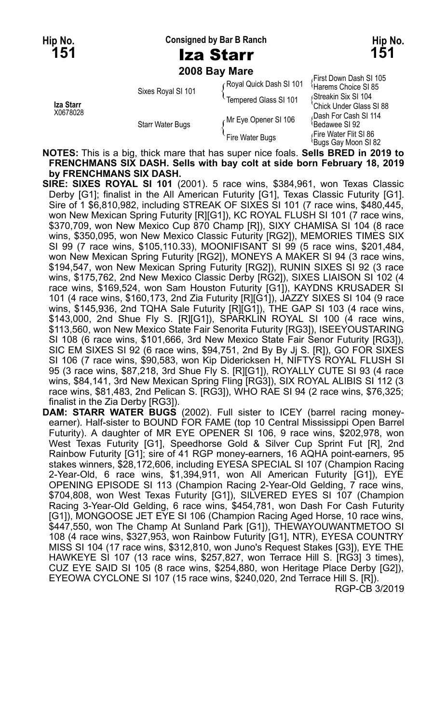**Hip No. Consigned by Bar B Ranch Hip No.**

**2008 Bay Mare**

| Iza Starr<br>X0678028 | Sixes Royal SI 101      | Royal Quick Dash SI 101 | First Down Dash SI 105<br><sup>1</sup> Harems Choice SI 85<br>(Streakin Six SI 104<br>'Chick Under Glass SI 88 |
|-----------------------|-------------------------|-------------------------|----------------------------------------------------------------------------------------------------------------|
|                       |                         | Tempered Glass SI 101   |                                                                                                                |
|                       | <b>Starr Water Bugs</b> | Mr Eye Opener SI 106    | Dash For Cash SI 114<br><sup>≀</sup> Bedawee SI 92                                                             |
|                       |                         | Fire Water Bugs         | Fire Water Flit SI 86،<br><sup>≀</sup> Buas Gav Moon SI 82                                                     |

**NOTES:** This is a big, thick mare that has super nice foals. **Sells BRED in 2019 to FRENCHMANS SIX DASH. Sells with bay colt at side born February 18, 2019 by FRENCHMANS SIX DASH.**

**SIRE: SIXES ROYAL SI 101** (2001). 5 race wins, \$384,961, won Texas Classic Derby [G1]; finalist in the All American Futurity [G1], Texas Classic Futurity [G1]. Sire of 1 \$6,810,982, including STREAK OF SIXES SI 101 (7 race wins, \$480,445, won New Mexican Spring Futurity [R][G1]), KC ROYAL FLUSH SI 101 (7 race wins, \$370,709, won New Mexico Cup 870 Champ [R]), SIXY CHAMISA SI 104 (8 race wins, \$350,095, won New Mexico Classic Futurity [RG2]), MEMORIES TIMES SIX SI 99 (7 race wins, \$105,110.33), MOONIFISANT SI 99 (5 race wins, \$201,484, won New Mexican Spring Futurity [RG2]), MONEYS A MAKER SI 94 (3 race wins, \$194,547, won New Mexican Spring Futurity [RG2]), RUNIN SIXES SI 92 (3 race wins, \$175,762, 2nd New Mexico Classic Derby [RG2]), SIXES LIAISON SI 102 (4 race wins, \$169,524, won Sam Houston Futurity [G1]), KAYDNS KRUSADER SI 101 (4 race wins, \$160,173, 2nd Zia Futurity [R][G1]), JAZZY SIXES SI 104 (9 race wins, \$145,936, 2nd TQHA Sale Futurity [R][G1]), THE GAP SI 103 (4 race wins, \$143,000, 2nd Shue Fly S. [R][G1]), SPARKLIN ROYAL SI 100 (4 race wins, \$113,560, won New Mexico State Fair Senorita Futurity [RG3]), ISEEYOUSTARING SI 108 (6 race wins, \$101,666, 3rd New Mexico State Fair Senor Futurity [RG3]), SIC EM SIXES SI 92 (6 race wins, \$94,751, 2nd By By Jj S. [R]), GO FOR SIXES SI 106 (7 race wins, \$90,583, won Kip Didericksen H, NIFTYS ROYAL FLUSH SI 95 (3 race wins, \$87,218, 3rd Shue Fly S. [R][G1]), ROYALLY CUTE SI 93 (4 race wins, \$84,141, 3rd New Mexican Spring Fling [RG3]), SIX ROYAL ALIBIS SI 112 (3 race wins, \$81,483, 2nd Pelican S. [RG3]), WHO RAE SI 94 (2 race wins, \$76,325; finalist in the Zia Derby [RG3]).

**DAM: STARR WATER BUGS** (2002). Full sister to ICEY (barrel racing moneyearner). Half-sister to BOUND FOR FAME (top 10 Central Mississippi Open Barrel Futurity). A daughter of MR EYE OPENER SI 106, 9 race wins, \$202,978, won West Texas Futurity [G1], Speedhorse Gold & Silver Cup Sprint Fut [R], 2nd Rainbow Futurity [G1]; sire of 41 RGP money-earners, 16 AQHA point-earners, 95 stakes winners, \$28,172,606, including EYESA SPECIAL SI 107 (Champion Racing 2-Year-Old, 6 race wins, \$1,394,911, won All American Futurity [G1]), EYE OPENING EPISODE SI 113 (Champion Racing 2-Year-Old Gelding, 7 race wins, \$704,808, won West Texas Futurity [G1]), SILVERED EYES SI 107 (Champion Racing 3-Year-Old Gelding, 6 race wins, \$454,781, won Dash For Cash Futurity [G1]), MONGOOSE JET EYE SI 106 (Champion Racing Aged Horse, 10 race wins, \$447,550, won The Champ At Sunland Park [G1]), THEWAYOUWANTMETOO SI 108 (4 race wins, \$327,953, won Rainbow Futurity [G1], NTR), EYESA COUNTRY MISS SI 104 (17 race wins, \$312,810, won Juno's Request Stakes [G3]), EYE THE HAWKEYE SI 107 (13 race wins, \$257,827, won Terrace Hill S. [RG3] 3 times), CUZ EYE SAID SI 105 (8 race wins, \$254,880, won Heritage Place Derby [G2]), EYEOWA CYCLONE SI 107 (15 race wins, \$240,020, 2nd Terrace Hill S. [R]). RGP-CB 3/2019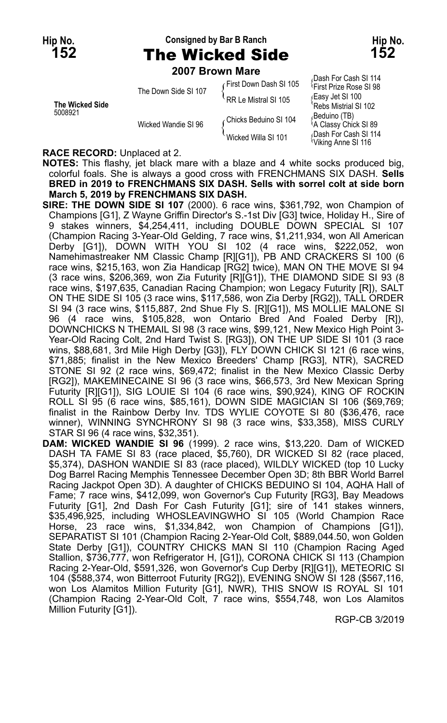## **Hip No. Consigned by Bar B Ranch Hip No. 152** The Wicked Side **152**

**2007 Brown Mare**

|                            | ZUU I DIUWII MAIE    |                        |                                                             |
|----------------------------|----------------------|------------------------|-------------------------------------------------------------|
| The Wicked Side<br>5008921 | The Down Side SI 107 | First Down Dash SI 105 | Dash For Cash SI 114<br><sup>1</sup> First Prize Rose SI 98 |
|                            |                      | RR Le Mistral SI 105   | ∫Easy Jet SI 100<br>`Rebs Mistrial SI 102                   |
|                            | Wicked Wandie SI 96  | ∠Chicks Beduino SI 104 | (Beduino (TB)،<br><sup>1</sup> A Classy Chick SI 89         |
|                            |                      | Wicked Willa SI 101    | Dash For Cash SI 114<br><sup>U</sup> Viking Anne SI 116     |

#### **RACE RECORD:** Unplaced at 2.

**NOTES:** This flashy, jet black mare with a blaze and 4 white socks produced big, colorful foals. She is always a good cross with FRENCHMANS SIX DASH. **Sells BRED in 2019 to FRENCHMANS SIX DASH. Sells with sorrel colt at side born March 5, 2019 by FRENCHMANS SIX DASH.**

**SIRE: THE DOWN SIDE SI 107** (2000). 6 race wins, \$361,792, won Champion of Champions [G1], Z Wayne Griffin Director's S.-1st Div [G3] twice, Holiday H., Sire of 9 stakes winners, \$4,254,411, including DOUBLE DOWN SPECIAL SI 107 (Champion Racing 3-Year-Old Gelding, 7 race wins, \$1,211,934, won All American Derby [G1]), DOWN WITH YOU SI 102 (4 race wins, \$222,052, won Namehimastreaker NM Classic Champ [R][G1]), PB AND CRACKERS SI 100 (6 race wins, \$215,163, won Zia Handicap [RG2] twice), MAN ON THE MOVE SI 94 (3 race wins, \$206,369, won Zia Futurity [R][G1]), THE DIAMOND SIDE SI 93 (8 race wins, \$197,635, Canadian Racing Champion; won Legacy Futurity [R]), SALT ON THE SIDE SI 105 (3 race wins, \$117,586, won Zia Derby [RG2]), TALL ORDER SI 94 (3 race wins, \$115,887, 2nd Shue Fly S. [R][G1]), MS MOLLIE MALONE SI 96 (4 race wins, \$105,828, won Ontario Bred And Foaled Derby [R]), DOWNCHICKS N THEMAIL SI 98 (3 race wins, \$99,121, New Mexico High Point 3- Year-Old Racing Colt, 2nd Hard Twist S. [RG3]), ON THE UP SIDE SI 101 (3 race wins, \$88,681, 3rd Mile High Derby [G3]), FLY DOWN CHICK SI 121 (6 race wins, \$71,885; finalist in the New Mexico Breeders' Champ [RG3], NTR), SACRED STONE SI 92 (2 race wins, \$69,472; finalist in the New Mexico Classic Derby [RG2]), MAKEMINECAINE SI 96 (3 race wins, \$66,573, 3rd New Mexican Spring Futurity [R][G1]), SIG LOUIE SI 104 (6 race wins, \$90,924), KING OF ROCKIN ROLL SI 95 (6 race wins, \$85,161), DOWN SIDE MAGICIAN SI 106 (\$69,769; finalist in the Rainbow Derby Inv. TDS WYLIE COYOTE SI 80 (\$36,476, race winner), WINNING SYNCHRONY SI 98 (3 race wins, \$33,358), MISS CURLY STAR SI 96 (4 race wins, \$32,351).

**DAM: WICKED WANDIE SI 96** (1999). 2 race wins, \$13,220. Dam of WICKED DASH TA FAME SI 83 (race placed, \$5,760), DR WICKED SI 82 (race placed, \$5,374), DASHON WANDIE SI 83 (race placed), WILDLY WICKED (top 10 Lucky Dog Barrel Racing Memphis Tennessee December Open 3D; 8th BBR World Barrel Racing Jackpot Open 3D). A daughter of CHICKS BEDUINO SI 104, AQHA Hall of Fame; 7 race wins, \$412,099, won Governor's Cup Futurity [RG3], Bay Meadows Futurity [G1], 2nd Dash For Cash Futurity [G1]; sire of 141 stakes winners, \$35,496,925, including WHOSLEAVINGWHO SI 105 (World Champion Race Horse, 23 race wins, \$1,334,842, won Champion of Champions [G1]), SEPARATIST SI 101 (Champion Racing 2-Year-Old Colt, \$889,044.50, won Golden State Derby [G1]), COUNTRY CHICKS MAN SI 110 (Champion Racing Aged Stallion, \$736,777, won Refrigerator H, [G1]), CORONA CHICK SI 113 (Champion Racing 2-Year-Old, \$591,326, won Governor's Cup Derby [R][G1]), METEORIC SI 104 (\$588,374, won Bitterroot Futurity [RG2]), EVENING SNOW SI 128 (\$567,116, won Los Alamitos Million Futurity [G1], NWR), THIS SNOW IS ROYAL SI 101 (Champion Racing 2-Year-Old Colt, 7 race wins, \$554,748, won Los Alamitos Million Futurity [G1]).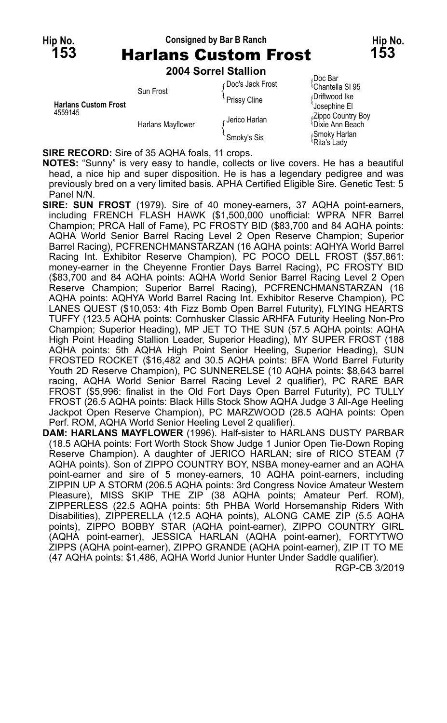## **Hip No. Consigned by Bar B Ranch Hip No. 153** Harlans Custom Frost **153**

**2004 Sorrel Stallion**

| <b>Harlans Custom Frost</b><br>4559145 | Sun Frost         | ∩Doc's Jack Frost | Doc Bar<br><sup>1</sup> Chantella SI 95   |
|----------------------------------------|-------------------|-------------------|-------------------------------------------|
|                                        |                   | Prissy Cline      | Driftwood Ike                             |
|                                        | Harlans Mayflower |                   | <b>SJosephine El</b><br>Zippo Country Boy |
|                                        |                   | ∠Jerico Harlan    | <sup>{</sup> Dixie Ann Beach              |
|                                        |                   | Smoky's Sis       | Smoky Harlan<br><sup>t</sup> Rita's Ladv  |

**SIRE RECORD:** Sire of 35 AQHA foals, 11 crops.

**NOTES:** "Sunny" is very easy to handle, collects or live covers. He has a beautiful head, a nice hip and super disposition. He is has a legendary pedigree and was previously bred on a very limited basis. APHA Certified Eligible Sire. Genetic Test: 5 Panel N/N.

- **SIRE: SUN FROST** (1979). Sire of 40 money-earners, 37 AQHA point-earners, including FRENCH FLASH HAWK (\$1,500,000 unofficial: WPRA NFR Barrel Champion; PRCA Hall of Fame), PC FROSTY BID (\$83,700 and 84 AQHA points: AQHA World Senior Barrel Racing Level 2 Open Reserve Champion; Superior Barrel Racing), PCFRENCHMANSTARZAN (16 AQHA points: AQHYA World Barrel Racing Int. Exhibitor Reserve Champion), PC POCO DELL FROST (\$57,861: money-earner in the Cheyenne Frontier Days Barrel Racing), PC FROSTY BID (\$83,700 and 84 AQHA points: AQHA World Senior Barrel Racing Level 2 Open Reserve Champion; Superior Barrel Racing), PCFRENCHMANSTARZAN (16 AQHA points: AQHYA World Barrel Racing Int. Exhibitor Reserve Champion), PC LANES QUEST (\$10,053: 4th Fizz Bomb Open Barrel Futurity), FLYING HEARTS TUFFY (123.5 AQHA points: Cornhusker Classic ARHFA Futurity Heeling Non-Pro Champion; Superior Heading), MP JET TO THE SUN (57.5 AQHA points: AQHA High Point Heading Stallion Leader, Superior Heading), MY SUPER FROST (188 AQHA points: 5th AQHA High Point Senior Heeling, Superior Heading), SUN FROSTED ROCKET (\$16,482 and 30.5 AQHA points: BFA World Barrel Futurity Youth 2D Reserve Champion), PC SUNNERELSE (10 AQHA points: \$8,643 barrel racing, AQHA World Senior Barrel Racing Level 2 qualifier), PC RARE BAR FROST (\$5,996: finalist in the Old Fort Days Open Barrel Futurity), PC TULLY FROST (26.5 AQHA points: Black Hills Stock Show AQHA Judge 3 All-Age Heeling Jackpot Open Reserve Champion), PC MARZWOOD (28.5 AQHA points: Open Perf. ROM, AQHA World Senior Heeling Level 2 qualifier).
- **DAM: HARLANS MAYFLOWER** (1996). Half-sister to HARLANS DUSTY PARBAR (18.5 AQHA points: Fort Worth Stock Show Judge 1 Junior Open Tie-Down Roping Reserve Champion). A daughter of JERICO HARLAN; sire of RICO STEAM (7 AQHA points). Son of ZIPPO COUNTRY BOY, NSBA money-earner and an AQHA point-earner and sire of 5 money-earners, 10 AQHA point-earners, including ZIPPIN UP A STORM (206.5 AQHA points: 3rd Congress Novice Amateur Western Pleasure), MISS SKIP THE ZIP (38 AQHA points; Amateur Perf. ROM), ZIPPERLESS (22.5 AQHA points: 5th PHBA World Horsemanship Riders With Disabilities), ZIPPERELLA (12.5 AQHA points), ALONG CAME ZIP (5.5 AQHA points), ZIPPO BOBBY STAR (AQHA point-earner), ZIPPO COUNTRY GIRL (AQHA point-earner), JESSICA HARLAN (AQHA point-earner), FORTYTWO ZIPPS (AQHA point-earner), ZIPPO GRANDE (AQHA point-earner), ZIP IT TO ME (47 AQHA points: \$1,486, AQHA World Junior Hunter Under Saddle qualifier).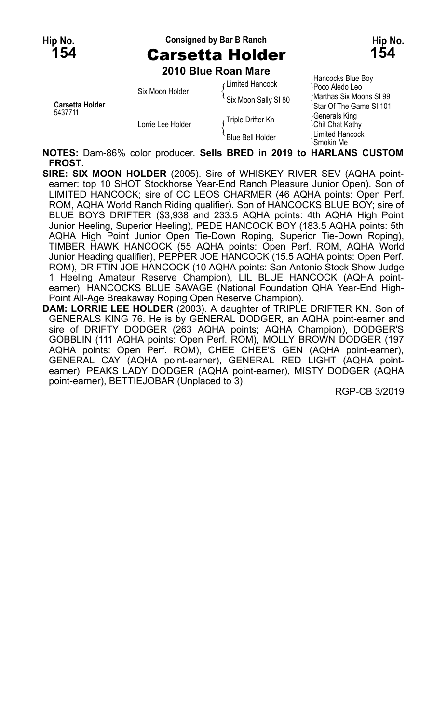# **Hip No. Consigned by Bar B Ranch Hip No. 154** Carsetta Holder **154**

**2010 Blue Roan Mare**

|                                   | ZU IU DIUE RUAII MAIE |                      |                                                                                                                                       |
|-----------------------------------|-----------------------|----------------------|---------------------------------------------------------------------------------------------------------------------------------------|
| <b>Carsetta Holder</b><br>5437711 | Six Moon Holder       | Limited Hancock      | Hancocks Blue Boy<br>Poco Aledo Leo<br>Marthas Six Moons SI 99<br>'Star Of The Game SI 101<br>Generals King<br><b>Chit Chat Kathy</b> |
|                                   |                       | Six Moon Sally SI 80 |                                                                                                                                       |
|                                   | Lorrie Lee Holder     | ∈Triple Drifter Kn   |                                                                                                                                       |
|                                   |                       | Blue Bell Holder     | Limited Hancock<br>≀Smokin Me                                                                                                         |

**NOTES:** Dam-86% color producer. **Sells BRED in 2019 to HARLANS CUSTOM FROST.**

- **SIRE: SIX MOON HOLDER** (2005). Sire of WHISKEY RIVER SEV (AQHA pointearner: top 10 SHOT Stockhorse Year-End Ranch Pleasure Junior Open). Son of LIMITED HANCOCK; sire of CC LEOS CHARMER (46 AQHA points: Open Perf. ROM, AQHA World Ranch Riding qualifier). Son of HANCOCKS BLUE BOY; sire of BLUE BOYS DRIFTER (\$3,938 and 233.5 AQHA points: 4th AQHA High Point Junior Heeling, Superior Heeling), PEDE HANCOCK BOY (183.5 AQHA points: 5th AQHA High Point Junior Open Tie-Down Roping, Superior Tie-Down Roping), TIMBER HAWK HANCOCK (55 AQHA points: Open Perf. ROM, AQHA World Junior Heading qualifier), PEPPER JOE HANCOCK (15.5 AQHA points: Open Perf. ROM), DRIFTIN JOE HANCOCK (10 AQHA points: San Antonio Stock Show Judge 1 Heeling Amateur Reserve Champion), LIL BLUE HANCOCK (AQHA pointearner), HANCOCKS BLUE SAVAGE (National Foundation QHA Year-End High-Point All-Age Breakaway Roping Open Reserve Champion).
- **DAM: LORRIE LEE HOLDER** (2003). A daughter of TRIPLE DRIFTER KN. Son of GENERALS KING 76. He is by GENERAL DODGER, an AQHA point-earner and sire of DRIFTY DODGER (263 AQHA points; AQHA Champion), DODGER'S GOBBLIN (111 AQHA points: Open Perf. ROM), MOLLY BROWN DODGER (197 AQHA points: Open Perf. ROM), CHEE CHEE'S GEN (AQHA point-earner), GENERAL CAY (AQHA point-earner), GENERAL RED LIGHT (AQHA pointearner), PEAKS LADY DODGER (AQHA point-earner), MISTY DODGER (AQHA point-earner), BETTIEJOBAR (Unplaced to 3).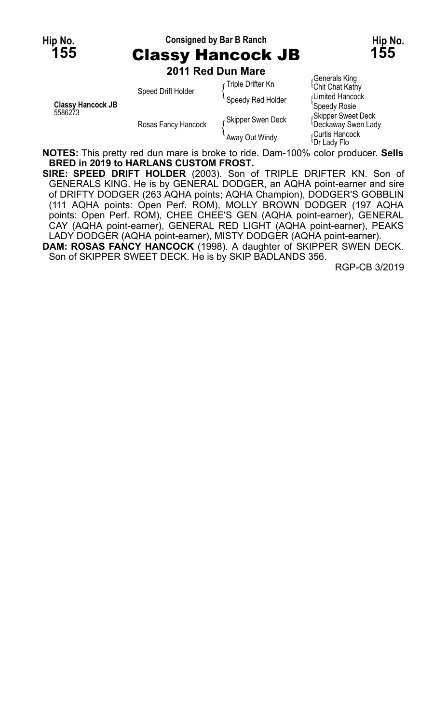#### **Hip No. Consigned by Bar B Ranch Hip No. 155** Classy Hancock JB **155**

**2011 Red Dun Mare**

| <b>Classy Hancock JB</b><br>5586273 | Speed Drift Holder  | Triple Drifter Kn | Generals King<br><b>Chit Chat Kathy</b>                       |
|-------------------------------------|---------------------|-------------------|---------------------------------------------------------------|
|                                     |                     | Speedy Red Holder | Limited Hancock<br>Speedy Rosie                               |
|                                     | Rosas Fancy Hancock | Skipper Swen Deck | Skipper Sweet Deck<br><b><i><u>Deckaway</u></i></b> Swen Lady |
|                                     |                     | Away Out Windy    | Curtis Hancock<br>≀Dr Ladv Flo                                |

**NOTES:** This pretty red dun mare is broke to ride. Dam-100% color producer. **Sells BRED in 2019 to HARLANS CUSTOM FROST.**

**SIRE: SPEED DRIFT HOLDER** (2003). Son of TRIPLE DRIFTER KN. Son of GENERALS KING. He is by GENERAL DODGER, an AQHA point-earner and sire of DRIFTY DODGER (263 AQHA points; AQHA Champion), DODGER'S GOBBLIN (111 AQHA points: Open Perf. ROM), MOLLY BROWN DODGER (197 AQHA points: Open Perf. ROM), CHEE CHEE'S GEN (AQHA point-earner), GENERAL CAY (AQHA point-earner), GENERAL RED LIGHT (AQHA point-earner), PEAKS LADY DODGER (AQHA point-earner), MISTY DODGER (AQHA point-earner).

**DAM: ROSAS FANCY HANCOCK** (1998). A daughter of SKIPPER SWEN DECK. Son of SKIPPER SWEET DECK. He is by SKIP BADLANDS 356.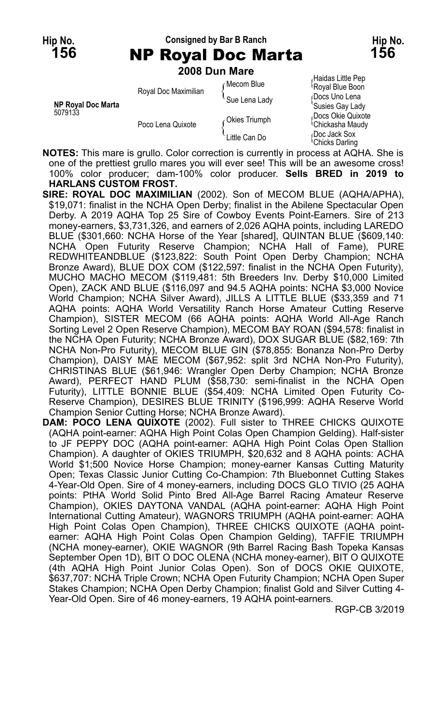#### **Hip No. Consigned by Bar B Ranch Hip No. 156** NP Royal Doc Marta **156**

**2008 Dun Mare**

|                                      | Royal Doc Maximilian | ∩Mecom Blue   | μιαινασ Little L cp<br>Royal Blue Boon            |
|--------------------------------------|----------------------|---------------|---------------------------------------------------|
| <b>NP Royal Doc Marta</b><br>5079133 |                      | Sue Lena Lady | Docs Uno Lena<br>'Susies Gay Lady                 |
|                                      | Poco Lena Quixote    | Okies Triumph | Docs Okie Quixote<br><sup>1</sup> Chickasha Maudy |
|                                      |                      | Little Can Do | Doc Jack Sox<br><sup>∖</sup> Chicks Darlinɑ       |

*R*aidas Little Pep<br><sup>(</sup>Royal Blue Boon **<sup>'</sup>Susies Gay Lady<br>¿Docs Okie Quixote** Chicks Darling

**NOTES:** This mare is grullo. Color correction is currently in process at AQHA. She is one of the prettiest grullo mares you will ever see! This will be an awesome cross! 100% color producer; dam-100% color producer. **Sells BRED in 2019 to HARLANS CUSTOM FROST.**

**SIRE: ROYAL DOC MAXIMILIAN** (2002). Son of MECOM BLUE (AQHA/APHA), \$19,071: finalist in the NCHA Open Derby; finalist in the Abilene Spectacular Open Derby. A 2019 AQHA Top 25 Sire of Cowboy Events Point-Earners. Sire of 213 money-earners, \$3,731,326, and earners of 2,026 AQHA points, including LAREDO BLUE (\$301,660: NCHA Horse of the Year [shared], QUINTAN BLUE (\$609,140: NCHA Open Futurity Reserve Champion; NCHA Hall of Fame), PURE REDWHITEANDBLUE (\$123,822: South Point Open Derby Champion; NCHA Bronze Award), BLUE DOX COM (\$122,597: finalist in the NCHA Open Futurity), MUCHO MACHO MECOM (\$119,481: 5th Breeders Inv. Derby \$10,000 Limited Open), ZACK AND BLUE (\$116,097 and 94.5 AQHA points: NCHA \$3,000 Novice World Champion; NCHA Silver Award), JILLS A LITTLE BLUE (\$33,359 and 71 AQHA points: AQHA World Versatility Ranch Horse Amateur Cutting Reserve Champion), SISTER MECOM (66 AQHA points: AQHA World All-Age Ranch Sorting Level 2 Open Reserve Champion), MECOM BAY ROAN (\$94,578: finalist in the NCHA Open Futurity; NCHA Bronze Award), DOX SUGAR BLUE (\$82,169: 7th NCHA Non-Pro Futurity), MECOM BLUE GIN (\$78,855: Bonanza Non-Pro Derby Champion), DAISY MÁE MECOM (\$67,952: split 3rd NCHA Non-Pro Futurity), CHRISTINAS BLUE (\$61,946: Wrangler Open Derby Champion; NCHA Bronze Award), PERFECT HAND PLUM (\$58,730: semi-finalist in the NCHA Open Futurity), LITTLE BONNIE BLUE (\$54,409: NCHA Limited Open Futurity Co-Reserve Champion), DESIRES BLUE TRINITY (\$196,999: AQHA Reserve World Champion Senior Cutting Horse; NCHA Bronze Award).

**DAM: POCO LENA QUIXOTE** (2002). Full sister to THREE CHICKS QUIXOTE (AQHA point-earner: AQHA High Point Colas Open Champion Gelding). Half-sister to JF PEPPY DOC (AQHA point-earner: AQHA High Point Colas Open Stallion Champion). A daughter of OKIES TRIUMPH, \$20,632 and 8 AQHA points: ACHA World \$1;500 Novice Horse Champion; money-earner Kansas Cutting Maturity Open; Texas Classic Junior Cutting Co-Champion: 7th Bluebonnet Cutting Stakes 4-Year-Old Open. Sire of 4 money-earners, including DOCS GLO TIVIO (25 AQHA points: PtHA World Solid Pinto Bred All-Age Barrel Racing Amateur Reserve Champion), OKIES DAYTONA VANDAL (AQHA point-earner: AQHA High Point International Cutting Amateur), WAGNORS TRIUMPH (AQHA point-earner: AQHA High Point Colas Open Champion), THREE CHICKS QUIXOTE (AQHA pointearner: AQHA High Point Colas Open Champion Gelding), TAFFIE TRIUMPH (NCHA money-earner), OKIE WAGNOR (9th Barrel Racing Bash Topeka Kansas September Open 1D), BIT O DOC OLENA (NCHA money-earner), BIT O QUIXOTE (4th AQHA High Point Junior Colas Open). Son of DOCS OKIE QUIXOTE, \$637,707: NCHA Triple Crown; NCHA Open Futurity Champion; NCHA Open Super Stakes Champion; NCHA Open Derby Champion; finalist Gold and Silver Cutting 4- Year-Old Open. Sire of 46 money-earners, 19 AQHA point-earners.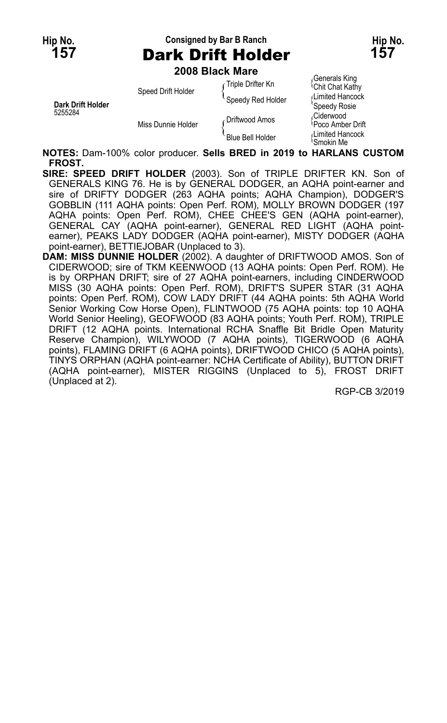## **Hip No. Consigned by Bar B Ranch Hip No. 157** Dark Drift Holder **157**

**2008 Black Mare**

|                              | zuus biack mare    |                   |                                         |
|------------------------------|--------------------|-------------------|-----------------------------------------|
|                              | Speed Drift Holder | Triple Drifter Kn | Generals King<br><b>Chit Chat Kathy</b> |
| Dark Drift Holder<br>5255284 |                    | Speedy Red Holder | Limited Hancock<br>Speedy Rosie         |
|                              | Miss Dunnie Holder | ∠ Driftwood Amos  | Ciderwood<br><b>Poco Amber Drift</b>    |
|                              |                    | Blue Bell Holder  | Limited Hancock<br>\Smokin Me           |

**NOTES:** Dam-100% color producer. **Sells BRED in 2019 to HARLANS CUSTOM FROST.**

**SIRE: SPEED DRIFT HOLDER** (2003). Son of TRIPLE DRIFTER KN. Son of GENERALS KING 76. He is by GENERAL DODGER, an AQHA point-earner and sire of DRIFTY DODGER (263 AQHA points; AQHA Champion), DODGER'S GOBBLIN (111 AQHA points: Open Perf. ROM), MOLLY BROWN DODGER (197 AQHA points: Open Perf. ROM), CHEE CHEE'S GEN (AQHA point-earner), GENERAL CAY (AQHA point-earner), GENERAL RED LIGHT (AQHA pointearner), PEAKS LADY DODGER (AQHA point-earner), MISTY DODGER (AQHA point-earner), BETTIEJOBAR (Unplaced to 3).

**DAM: MISS DUNNIE HOLDER** (2002). A daughter of DRIFTWOOD AMOS. Son of CIDERWOOD; sire of TKM KEENWOOD (13 AQHA points: Open Perf. ROM). He is by ORPHAN DRIFT; sire of 27 AQHA point-earners, including CINDERWOOD MISS (30 AQHA points: Open Perf. ROM), DRIFT'S SUPER STAR (31 AQHA points: Open Perf. ROM), COW LADY DRIFT (44 AQHA points: 5th AQHA World Senior Working Cow Horse Open), FLINTWOOD (75 AQHA points: top 10 AQHA World Senior Heeling), GEOFWOOD (83 AQHA points; Youth Perf. ROM), TRIPLE DRIFT (12 AQHA points. International RCHA Snaffle Bit Bridle Open Maturity Reserve Champion), WILYWOOD (7 AQHA points), TIGERWOOD (6 AQHA points), FLAMING DRIFT (6 AQHA points), DRIFTWOOD CHICO (5 AQHA points), TINYS ORPHAN (AQHA point-earner: NCHA Certificate of Ability), BUTTON DRIFT (AQHA point-earner), MISTER RIGGINS (Unplaced to 5), FROST DRIFT (Unplaced at 2).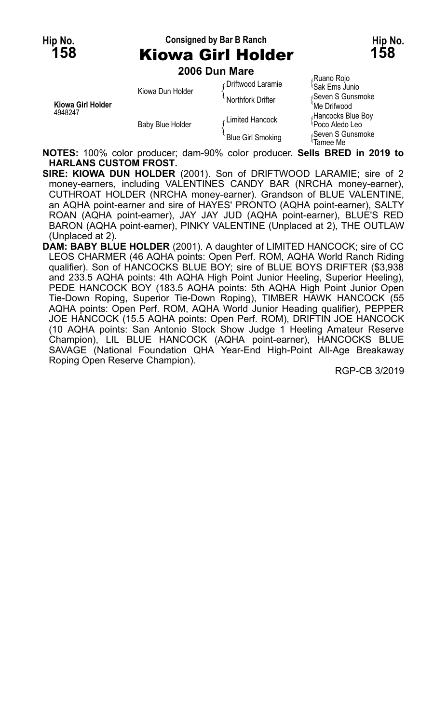## **Hip No. Consigned by Bar B Ranch Hip No. 158** Kiowa Girl Holder **158**

**2006 Dun Mare** Ruano Rojo<br>
Conflution de Laramie<br>
Gak Ems Junio Sak Ems Junio Kiowa Dun Holder (Seven S Gunsmoke Northfork Drifter { Seak Ems Junio 1999)<br>Northfork Drifter { Seven S Gunsmoke \ Ne Drifwood **Kiowa Girl Holder** Me Drifwood (Me Drifwood Me Drifwood Me Drifwood Me Drifwood Me Drifwood Me Drifwood Me Dri<br>Alancocks Blue Boy 4948 Baby Blue Holder for the semi-function of Limited Hancock and the control of the Baby Blue Boy C Baby Blue Holder Funned Hancock<br>Reven S Gunsmoke (Blue Girl Smoking { Seven S Gunsmoke }<br>Tamee Me

**NOTES:** 100% color producer; dam-90% color producer. **Sells BRED in 2019 to HARLANS CUSTOM FROST.**

**SIRE: KIOWA DUN HOLDER** (2001). Son of DRIFTWOOD LARAMIE; sire of 2 money-earners, including VALENTINES CANDY BAR (NRCHA money-earner), CUTHROAT HOLDER (NRCHA money-earner). Grandson of BLUE VALENTINE, an AQHA point-earner and sire of HAYES' PRONTO (AQHA point-earner), SALTY ROAN (AQHA point-earner), JAY JAY JUD (AQHA point-earner), BLUE'S RED BARON (AQHA point-earner), PINKY VALENTINE (Unplaced at 2), THE OUTLAW (Unplaced at 2).

**DAM: BABY BLUE HOLDER** (2001). A daughter of LIMITED HANCOCK; sire of CC LEOS CHARMER (46 AQHA points: Open Perf. ROM, AQHA World Ranch Riding qualifier). Son of HANCOCKS BLUE BOY; sire of BLUE BOYS DRIFTER (\$3,938 and 233.5 AQHA points: 4th AQHA High Point Junior Heeling, Superior Heeling), PEDE HANCOCK BOY (183.5 AQHA points: 5th AQHA High Point Junior Open Tie-Down Roping, Superior Tie-Down Roping), TIMBER HAWK HANCOCK (55 AQHA points: Open Perf. ROM, AQHA World Junior Heading qualifier), PEPPER JOE HANCOCK (15.5 AQHA points: Open Perf. ROM), DRIFTIN JOE HANCOCK (10 AQHA points: San Antonio Stock Show Judge 1 Heeling Amateur Reserve Champion), LIL BLUE HANCOCK (AQHA point-earner), HANCOCKS BLUE SAVAGE (National Foundation QHA Year-End High-Point All-Age Breakaway Roping Open Reserve Champion).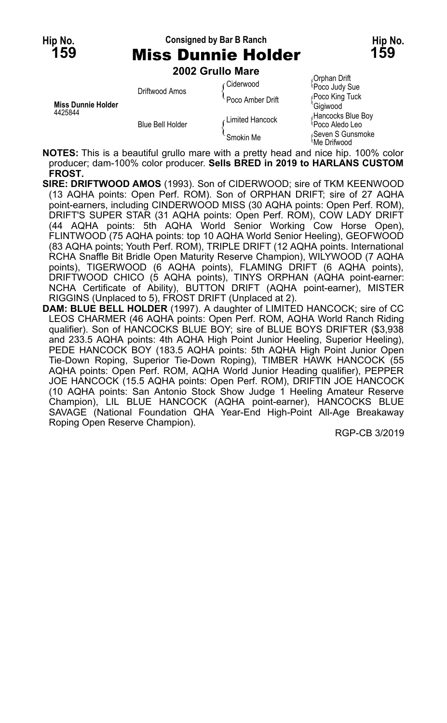## **Hip No. Consigned by Bar B Ranch Hip No. 159** Miss Dunnie Holder **159**

**2002 Grullo Mare**

|                           | LVVL VIUIIV IIIUIV |                  |                                                  |
|---------------------------|--------------------|------------------|--------------------------------------------------|
| <b>Miss Dunnie Holder</b> | Driftwood Amos     | Ciderwood        | Orphan Drift<br>Poco Judy Sue                    |
|                           |                    | Poco Amber Drift | Poco King Tuck<br><sup>'</sup> Gigiwood          |
| 4425844                   | Blue Bell Holder   | Limited Hancock  | Hancocks Blue Boy<br><sup>1</sup> Poco Aledo Leo |
|                           |                    | Smokin Me        | Seven S Gunsmoke،<br>Me Drifwood                 |

**NOTES:** This is a beautiful grullo mare with a pretty head and nice hip. 100% color producer; dam-100% color producer. **Sells BRED in 2019 to HARLANS CUSTOM FROST.**

- **SIRE: DRIFTWOOD AMOS** (1993). Son of CIDERWOOD; sire of TKM KEENWOOD (13 AQHA points: Open Perf. ROM). Son of ORPHAN DRIFT; sire of 27 AQHA point-earners, including CINDERWOOD MISS (30 AQHA points: Open Perf. ROM), DRIFT'S SUPER STAR (31 AQHA points: Open Perf. ROM), COW LADY DRIFT (44 AQHA points: 5th AQHA World Senior Working Cow Horse Open), FLINTWOOD (75 AQHA points: top 10 AQHA World Senior Heeling), GEOFWOOD (83 AQHA points; Youth Perf. ROM), TRIPLE DRIFT (12 AQHA points. International RCHA Snaffle Bit Bridle Open Maturity Reserve Champion), WILYWOOD (7 AQHA points), TIGERWOOD (6 AQHA points), FLAMING DRIFT (6 AQHA points), DRIFTWOOD CHICO (5 AQHA points), TINYS ORPHAN (AQHA point-earner: NCHA Certificate of Ability), BUTTON DRIFT (AQHA point-earner), MISTER RIGGINS (Unplaced to 5), FROST DRIFT (Unplaced at 2).
- **DAM: BLUE BELL HOLDER** (1997). A daughter of LIMITED HANCOCK; sire of CC LEOS CHARMER (46 AQHA points: Open Perf. ROM, AQHA World Ranch Riding qualifier). Son of HANCOCKS BLUE BOY; sire of BLUE BOYS DRIFTER (\$3,938 and 233.5 AQHA points: 4th AQHA High Point Junior Heeling, Superior Heeling), PEDE HANCOCK BOY (183.5 AQHA points: 5th AQHA High Point Junior Open Tie-Down Roping, Superior Tie-Down Roping), TIMBER HAWK HANCOCK (55 AQHA points: Open Perf. ROM, AQHA World Junior Heading qualifier), PEPPER JOE HANCOCK (15.5 AQHA points: Open Perf. ROM), DRIFTIN JOE HANCOCK (10 AQHA points: San Antonio Stock Show Judge 1 Heeling Amateur Reserve Champion), LIL BLUE HANCOCK (AQHA point-earner), HANCOCKS BLUE SAVAGE (National Foundation QHA Year-End High-Point All-Age Breakaway Roping Open Reserve Champion).